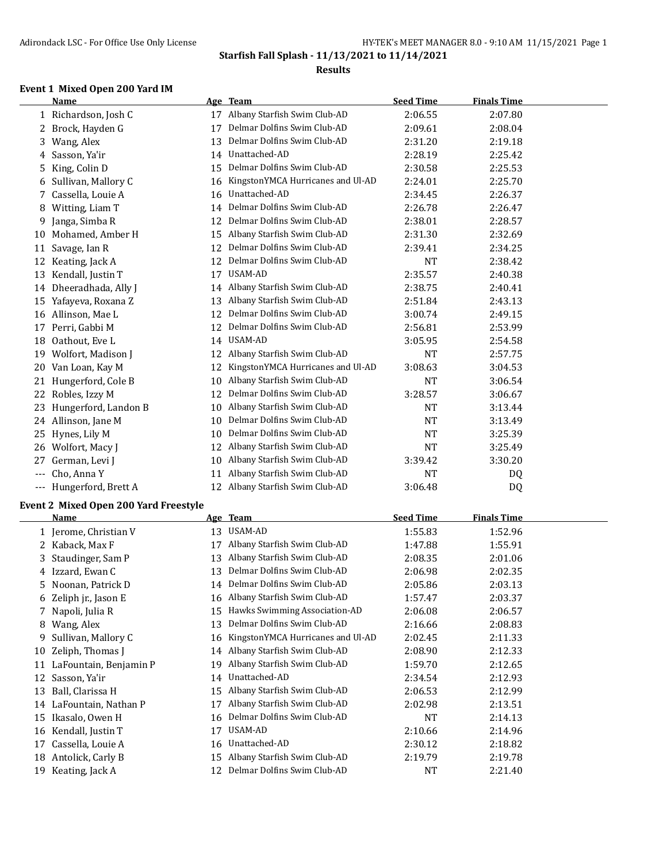#### **Results**

## **Event 1 Mixed Open 200 Yard IM**

|       | Name                 |    | Age Team                          | <b>Seed Time</b> | <b>Finals Time</b> |  |
|-------|----------------------|----|-----------------------------------|------------------|--------------------|--|
|       | 1 Richardson, Josh C | 17 | Albany Starfish Swim Club-AD      | 2:06.55          | 2:07.80            |  |
| 2     | Brock, Hayden G      | 17 | Delmar Dolfins Swim Club-AD       | 2:09.61          | 2:08.04            |  |
| 3     | Wang, Alex           | 13 | Delmar Dolfins Swim Club-AD       | 2:31.20          | 2:19.18            |  |
| 4     | Sasson, Ya'ir        | 14 | Unattached-AD                     | 2:28.19          | 2:25.42            |  |
| 5     | King, Colin D        | 15 | Delmar Dolfins Swim Club-AD       | 2:30.58          | 2:25.53            |  |
| 6     | Sullivan, Mallory C  | 16 | KingstonYMCA Hurricanes and Ul-AD | 2:24.01          | 2:25.70            |  |
| 7     | Cassella, Louie A    | 16 | Unattached-AD                     | 2:34.45          | 2:26.37            |  |
| 8     | Witting, Liam T      | 14 | Delmar Dolfins Swim Club-AD       | 2:26.78          | 2:26.47            |  |
| 9     | Janga, Simba R       | 12 | Delmar Dolfins Swim Club-AD       | 2:38.01          | 2:28.57            |  |
| 10    | Mohamed, Amber H     | 15 | Albany Starfish Swim Club-AD      | 2:31.30          | 2:32.69            |  |
| 11    | Savage, Ian R        | 12 | Delmar Dolfins Swim Club-AD       | 2:39.41          | 2:34.25            |  |
| 12    | Keating, Jack A      | 12 | Delmar Dolfins Swim Club-AD       | <b>NT</b>        | 2:38.42            |  |
| 13    | Kendall, Justin T    | 17 | USAM-AD                           | 2:35.57          | 2:40.38            |  |
| 14    | Dheeradhada, Ally J  | 14 | Albany Starfish Swim Club-AD      | 2:38.75          | 2:40.41            |  |
| 15    | Yafayeva, Roxana Z   | 13 | Albany Starfish Swim Club-AD      | 2:51.84          | 2:43.13            |  |
| 16    | Allinson, Mae L      | 12 | Delmar Dolfins Swim Club-AD       | 3:00.74          | 2:49.15            |  |
| 17    | Perri, Gabbi M       | 12 | Delmar Dolfins Swim Club-AD       | 2:56.81          | 2:53.99            |  |
| 18    | Oathout, Eve L       | 14 | USAM-AD                           | 3:05.95          | 2:54.58            |  |
| 19    | Wolfort, Madison J   | 12 | Albany Starfish Swim Club-AD      | <b>NT</b>        | 2:57.75            |  |
| 20    | Van Loan, Kay M      | 12 | KingstonYMCA Hurricanes and Ul-AD | 3:08.63          | 3:04.53            |  |
| 21    | Hungerford, Cole B   | 10 | Albany Starfish Swim Club-AD      | <b>NT</b>        | 3:06.54            |  |
| 22    | Robles, Izzy M       | 12 | Delmar Dolfins Swim Club-AD       | 3:28.57          | 3:06.67            |  |
| 23    | Hungerford, Landon B | 10 | Albany Starfish Swim Club-AD      | <b>NT</b>        | 3:13.44            |  |
| 24    | Allinson, Jane M     | 10 | Delmar Dolfins Swim Club-AD       | <b>NT</b>        | 3:13.49            |  |
| 25    | Hynes, Lily M        | 10 | Delmar Dolfins Swim Club-AD       | <b>NT</b>        | 3:25.39            |  |
| 26    | Wolfort, Macy J      | 12 | Albany Starfish Swim Club-AD      | <b>NT</b>        | 3:25.49            |  |
| 27    | German, Levi J       | 10 | Albany Starfish Swim Club-AD      | 3:39.42          | 3:30.20            |  |
|       | Cho, Anna Y          | 11 | Albany Starfish Swim Club-AD      | <b>NT</b>        | DQ                 |  |
| $---$ | Hungerford, Brett A  | 12 | Albany Starfish Swim Club-AD      | 3:06.48          | D <sub>0</sub>     |  |

#### **Event 2 Mixed Open 200 Yard Freestyle**

|    | Name                   |    | Age Team                          | <b>Seed Time</b> | <b>Finals Time</b> |
|----|------------------------|----|-----------------------------------|------------------|--------------------|
|    | 1 Jerome, Christian V  | 13 | USAM-AD                           | 1:55.83          | 1:52.96            |
|    | Kaback, Max F          |    | Albany Starfish Swim Club-AD      | 1:47.88          | 1:55.91            |
| 3  | Staudinger, Sam P      | 13 | Albany Starfish Swim Club-AD      | 2:08.35          | 2:01.06            |
|    | 4 Izzard, Ewan C       | 13 | Delmar Dolfins Swim Club-AD       | 2:06.98          | 2:02.35            |
| 5. | Noonan, Patrick D      | 14 | Delmar Dolfins Swim Club-AD       | 2:05.86          | 2:03.13            |
| 6  | Zeliph jr., Jason E    | 16 | Albany Starfish Swim Club-AD      | 1:57.47          | 2:03.37            |
|    | Napoli, Julia R        | 15 | Hawks Swimming Association-AD     | 2:06.08          | 2:06.57            |
| 8  | Wang, Alex             | 13 | Delmar Dolfins Swim Club-AD       | 2:16.66          | 2:08.83            |
| 9  | Sullivan, Mallory C    | 16 | KingstonYMCA Hurricanes and Ul-AD | 2:02.45          | 2:11.33            |
| 10 | Zeliph, Thomas J       | 14 | Albany Starfish Swim Club-AD      | 2:08.90          | 2:12.33            |
| 11 | LaFountain, Benjamin P | 19 | Albany Starfish Swim Club-AD      | 1:59.70          | 2:12.65            |
| 12 | Sasson, Ya'ir          | 14 | Unattached-AD                     | 2:34.54          | 2:12.93            |
| 13 | Ball, Clarissa H       | 15 | Albany Starfish Swim Club-AD      | 2:06.53          | 2:12.99            |
| 14 | LaFountain, Nathan P   |    | Albany Starfish Swim Club-AD      | 2:02.98          | 2:13.51            |
| 15 | Ikasalo, Owen H        | 16 | Delmar Dolfins Swim Club-AD       | <b>NT</b>        | 2:14.13            |
| 16 | Kendall, Justin T      | 17 | USAM-AD                           | 2:10.66          | 2:14.96            |
| 17 | Cassella, Louie A      | 16 | Unattached-AD                     | 2:30.12          | 2:18.82            |
| 18 | Antolick, Carly B      | 15 | Albany Starfish Swim Club-AD      | 2:19.79          | 2:19.78            |
| 19 | Keating, Jack A        |    | Delmar Dolfins Swim Club-AD       | NT               | 2:21.40            |
|    |                        |    |                                   |                  |                    |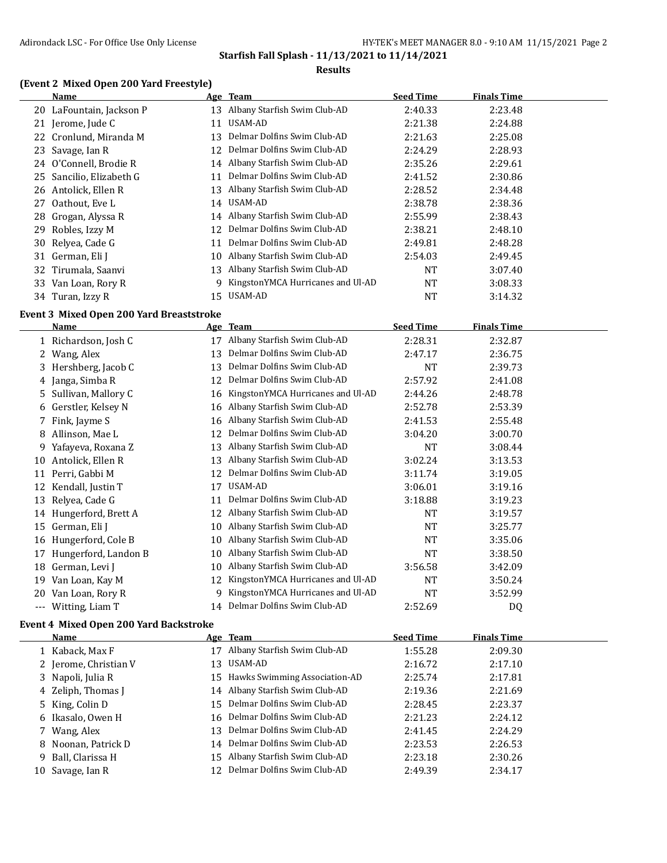#### **Results**

## **(Event 2 Mixed Open 200 Yard Freestyle)**

| Name                     | Age Team                               | <b>Seed Time</b> | <b>Finals Time</b> |  |
|--------------------------|----------------------------------------|------------------|--------------------|--|
| 20 LaFountain, Jackson P | Albany Starfish Swim Club-AD<br>13     | 2:40.33          | 2:23.48            |  |
| 21 Jerome, Jude C        | USAM-AD<br>11                          | 2:21.38          | 2:24.88            |  |
| 22 Cronlund, Miranda M   | Delmar Dolfins Swim Club-AD<br>13      | 2:21.63          | 2:25.08            |  |
| 23 Savage, Ian R         | Delmar Dolfins Swim Club-AD<br>12.     | 2:24.29          | 2:28.93            |  |
| 24 O'Connell, Brodie R   | Albany Starfish Swim Club-AD<br>14     | 2:35.26          | 2:29.61            |  |
| 25 Sancilio, Elizabeth G | Delmar Dolfins Swim Club-AD<br>11      | 2:41.52          | 2:30.86            |  |
| 26 Antolick, Ellen R     | Albany Starfish Swim Club-AD<br>13     | 2:28.52          | 2:34.48            |  |
| Oathout, Eve L<br>27     | 14 USAM-AD                             | 2:38.78          | 2:38.36            |  |
| 28 Grogan, Alyssa R      | Albany Starfish Swim Club-AD<br>14     | 2:55.99          | 2:38.43            |  |
| Robles, Izzy M<br>29.    | Delmar Dolfins Swim Club-AD<br>12      | 2:38.21          | 2:48.10            |  |
| 30 Relyea, Cade G        | Delmar Dolfins Swim Club-AD<br>11      | 2:49.81          | 2:48.28            |  |
| 31 German, Eli J         | Albany Starfish Swim Club-AD<br>10     | 2:54.03          | 2:49.45            |  |
| 32 Tirumala, Saanvi      | Albany Starfish Swim Club-AD<br>13     | <b>NT</b>        | 3:07.40            |  |
| Van Loan, Rory R<br>33   | KingstonYMCA Hurricanes and Ul-AD<br>g | <b>NT</b>        | 3:08.33            |  |
| 34 Turan, Izzy R         | USAM-AD<br>15                          | NT               | 3:14.32            |  |

## **Event 3 Mixed Open 200 Yard Breaststroke**

|       | <b>Name</b>          |    | Age Team                          | <b>Seed Time</b> | <b>Finals Time</b> |  |
|-------|----------------------|----|-----------------------------------|------------------|--------------------|--|
|       | 1 Richardson, Josh C | 17 | Albany Starfish Swim Club-AD      | 2:28.31          | 2:32.87            |  |
|       | Wang, Alex           | 13 | Delmar Dolfins Swim Club-AD       | 2:47.17          | 2:36.75            |  |
| 3     | Hershberg, Jacob C   | 13 | Delmar Dolfins Swim Club-AD       | NT               | 2:39.73            |  |
| 4     | Janga, Simba R       | 12 | Delmar Dolfins Swim Club-AD       | 2:57.92          | 2:41.08            |  |
| 5.    | Sullivan, Mallory C  | 16 | KingstonYMCA Hurricanes and Ul-AD | 2:44.26          | 2:48.78            |  |
| 6     | Gerstler, Kelsey N   | 16 | Albany Starfish Swim Club-AD      | 2:52.78          | 2:53.39            |  |
|       | 7 Fink, Jayme S      | 16 | Albany Starfish Swim Club-AD      | 2:41.53          | 2:55.48            |  |
| 8     | Allinson, Mae L      | 12 | Delmar Dolfins Swim Club-AD       | 3:04.20          | 3:00.70            |  |
| 9     | Yafayeva, Roxana Z   | 13 | Albany Starfish Swim Club-AD      | NT               | 3:08.44            |  |
| 10    | Antolick, Ellen R    | 13 | Albany Starfish Swim Club-AD      | 3:02.24          | 3:13.53            |  |
| 11    | Perri, Gabbi M       | 12 | Delmar Dolfins Swim Club-AD       | 3:11.74          | 3:19.05            |  |
| 12    | Kendall, Justin T    | 17 | USAM-AD                           | 3:06.01          | 3:19.16            |  |
| 13    | Relyea, Cade G       | 11 | Delmar Dolfins Swim Club-AD       | 3:18.88          | 3:19.23            |  |
| 14    | Hungerford, Brett A  | 12 | Albany Starfish Swim Club-AD      | NT               | 3:19.57            |  |
| 15    | German, Eli J        | 10 | Albany Starfish Swim Club-AD      | <b>NT</b>        | 3:25.77            |  |
| 16    | Hungerford, Cole B   | 10 | Albany Starfish Swim Club-AD      | NT               | 3:35.06            |  |
| 17    | Hungerford, Landon B | 10 | Albany Starfish Swim Club-AD      | <b>NT</b>        | 3:38.50            |  |
| 18    | German, Levi J       | 10 | Albany Starfish Swim Club-AD      | 3:56.58          | 3:42.09            |  |
| 19    | Van Loan, Kay M      | 12 | KingstonYMCA Hurricanes and Ul-AD | NT               | 3:50.24            |  |
| 20    | Van Loan, Rory R     | 9  | KingstonYMCA Hurricanes and Ul-AD | NT               | 3:52.99            |  |
| $---$ | Witting, Liam T      |    | 14 Delmar Dolfins Swim Club-AD    | 2:52.69          | DQ                 |  |

#### **Event 4 Mixed Open 200 Yard Backstroke**

| Name                  | Age Team                         | <b>Seed Time</b> | <b>Finals Time</b> |  |
|-----------------------|----------------------------------|------------------|--------------------|--|
| 1 Kaback, Max F       | Albany Starfish Swim Club-AD     | 1:55.28          | 2:09.30            |  |
| 2 Jerome, Christian V | 13 USAM-AD                       | 2:16.72          | 2:17.10            |  |
| 3 Napoli, Julia R     | 15 Hawks Swimming Association-AD | 2:25.74          | 2:17.81            |  |
| 4 Zeliph, Thomas J    | 14 Albany Starfish Swim Club-AD  | 2:19.36          | 2:21.69            |  |
| 5 King, Colin D       | 15 Delmar Dolfins Swim Club-AD   | 2:28.45          | 2:23.37            |  |
| 6 Ikasalo, Owen H     | 16 Delmar Dolfins Swim Club-AD   | 2:21.23          | 2:24.12            |  |
| 7 Wang, Alex          | 13 Delmar Dolfins Swim Club-AD   | 2:41.45          | 2:24.29            |  |
| 8 Noonan, Patrick D   | 14 Delmar Dolfins Swim Club-AD   | 2:23.53          | 2:26.53            |  |
| 9 Ball, Clarissa H    | 15 Albany Starfish Swim Club-AD  | 2:23.18          | 2:30.26            |  |
| 10 Savage, Ian R      | Delmar Dolfins Swim Club-AD      | 2:49.39          | 2:34.17            |  |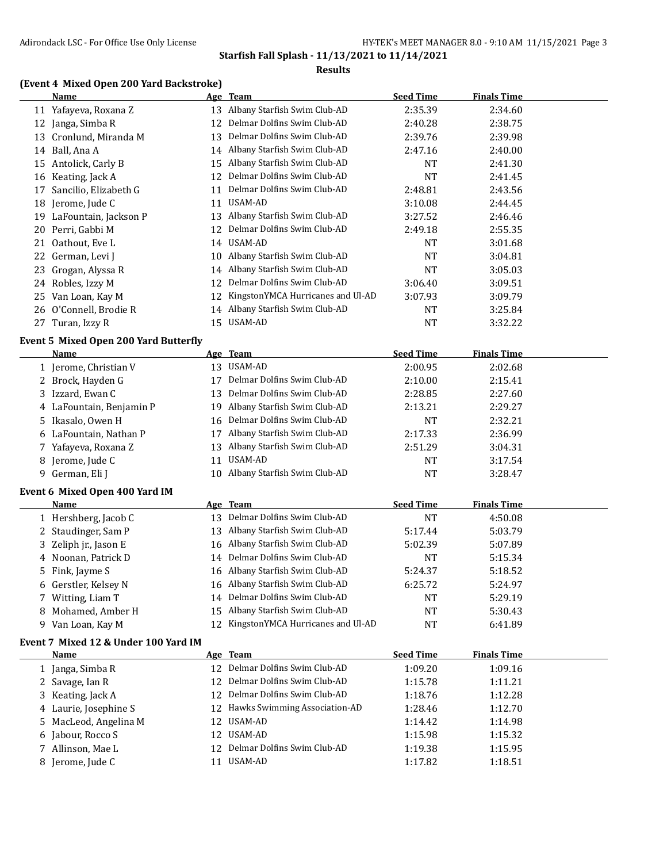#### **Results**

## **(Event 4 Mixed Open 200 Yard Backstroke)**

|    | <b>Name</b>                                  |    | Age Team                             | <b>Seed Time</b> | <b>Finals Time</b> |
|----|----------------------------------------------|----|--------------------------------------|------------------|--------------------|
|    | 11 Yafayeva, Roxana Z                        |    | 13 Albany Starfish Swim Club-AD      | 2:35.39          | 2:34.60            |
| 12 | Janga, Simba R                               | 12 | Delmar Dolfins Swim Club-AD          | 2:40.28          | 2:38.75            |
| 13 | Cronlund, Miranda M                          | 13 | Delmar Dolfins Swim Club-AD          | 2:39.76          | 2:39.98            |
| 14 | Ball, Ana A                                  | 14 | Albany Starfish Swim Club-AD         | 2:47.16          | 2:40.00            |
| 15 | Antolick, Carly B                            | 15 | Albany Starfish Swim Club-AD         | NT               | 2:41.30            |
| 16 | Keating, Jack A                              | 12 | Delmar Dolfins Swim Club-AD          | NT               | 2:41.45            |
| 17 | Sancilio, Elizabeth G                        | 11 | Delmar Dolfins Swim Club-AD          | 2:48.81          | 2:43.56            |
| 18 | Jerome, Jude C                               | 11 | <b>USAM-AD</b>                       | 3:10.08          | 2:44.45            |
| 19 | LaFountain, Jackson P                        | 13 | Albany Starfish Swim Club-AD         | 3:27.52          | 2:46.46            |
| 20 | Perri, Gabbi M                               | 12 | Delmar Dolfins Swim Club-AD          | 2:49.18          | 2:55.35            |
|    | 21 Oathout, Eve L                            |    | 14 USAM-AD                           | NT               | 3:01.68            |
| 22 | German, Levi J                               | 10 | Albany Starfish Swim Club-AD         | <b>NT</b>        | 3:04.81            |
| 23 | Grogan, Alyssa R                             | 14 | Albany Starfish Swim Club-AD         | NT               | 3:05.03            |
|    | 24 Robles, Izzy M                            | 12 | Delmar Dolfins Swim Club-AD          | 3:06.40          | 3:09.51            |
| 25 | Van Loan, Kay M                              | 12 | KingstonYMCA Hurricanes and Ul-AD    | 3:07.93          | 3:09.79            |
| 26 | O'Connell, Brodie R                          | 14 | Albany Starfish Swim Club-AD         | NT               | 3:25.84            |
|    | 27 Turan, Izzy R                             |    | 15 USAM-AD                           | <b>NT</b>        | 3:32.22            |
|    | <b>Event 5 Mixed Open 200 Yard Butterfly</b> |    |                                      |                  |                    |
|    | Name                                         |    | Age Team                             | <b>Seed Time</b> | <b>Finals Time</b> |
|    | 1 Jerome, Christian V                        |    | 13 USAM-AD                           | 2:00.95          | 2:02.68            |
|    | 2 Brock, Hayden G                            | 17 | Delmar Dolfins Swim Club-AD          | 2:10.00          | 2:15.41            |
| 3  | Izzard, Ewan C                               | 13 | Delmar Dolfins Swim Club-AD          | 2:28.85          | 2:27.60            |
|    | 4 LaFountain, Benjamin P                     | 19 | Albany Starfish Swim Club-AD         | 2:13.21          | 2:29.27            |
| 5  | Ikasalo, Owen H                              | 16 | Delmar Dolfins Swim Club-AD          | NT               | 2:32.21            |
|    | LaFountain, Nathan P                         |    | 17 Albany Starfish Swim Club-AD      | 2:17.33          | 2:36.99            |
| 6  | 7 Yafayeva, Roxana Z                         | 13 | Albany Starfish Swim Club-AD         | 2:51.29          | 3:04.31            |
| 8  | Jerome, Jude C                               | 11 | USAM-AD                              | <b>NT</b>        | 3:17.54            |
|    | 9 German, Eli J                              | 10 | Albany Starfish Swim Club-AD         | <b>NT</b>        | 3:28.47            |
|    |                                              |    |                                      |                  |                    |
|    | Event 6 Mixed Open 400 Yard IM               |    |                                      |                  |                    |
|    | Name                                         |    | Age Team                             | <b>Seed Time</b> | <b>Finals Time</b> |
|    | 1 Hershberg, Jacob C                         |    | 13 Delmar Dolfins Swim Club-AD       | NT               | 4:50.08            |
|    | 2 Staudinger, Sam P                          |    | 13 Albany Starfish Swim Club-AD      | 5:17.44          | 5:03.79            |
| 3  | Zeliph jr., Jason E                          |    | 16 Albany Starfish Swim Club-AD      | 5:02.39          | 5:07.89            |
|    | 4 Noonan, Patrick D                          | 14 | Delmar Dolfins Swim Club-AD          | NT               | 5:15.34            |
| 5  | Fink, Jayme S                                |    | 16 Albany Starfish Swim Club-AD      | 5:24.37          | 5:18.52            |
| 6  | Gerstler, Kelsey N                           |    | 16 Albany Starfish Swim Club-AD      | 6:25.72          | 5:24.97            |
|    | 7 Witting, Liam T                            |    | 14 Delmar Dolfins Swim Club-AD       | NT               | 5:29.19            |
| 8  | Mohamed, Amber H                             |    | 15 Albany Starfish Swim Club-AD      | <b>NT</b>        | 5:30.43            |
|    | 9 Van Loan, Kay M                            |    | 12 KingstonYMCA Hurricanes and Ul-AD | NT               | 6:41.89            |
|    | Event 7 Mixed 12 & Under 100 Yard IM         |    |                                      |                  |                    |
|    | Name                                         |    | Age Team                             | <b>Seed Time</b> | <b>Finals Time</b> |
|    | 1 Janga, Simba R                             |    | 12 Delmar Dolfins Swim Club-AD       | 1:09.20          | 1:09.16            |
|    | 2 Savage, Ian R                              |    | 12 Delmar Dolfins Swim Club-AD       | 1:15.78          | 1:11.21            |
| 3  | Keating, Jack A                              |    | 12 Delmar Dolfins Swim Club-AD       | 1:18.76          | 1:12.28            |
| 4  | Laurie, Josephine S                          |    | 12 Hawks Swimming Association-AD     | 1:28.46          | 1:12.70            |
| 5  | MacLeod, Angelina M                          |    | 12 USAM-AD                           | 1:14.42          | 1:14.98            |
| 6  | Jabour, Rocco S                              |    | 12 USAM-AD                           | 1:15.98          | 1:15.32            |
| 7  | Allinson, Mae L                              |    | 12 Delmar Dolfins Swim Club-AD       | 1:19.38          | 1:15.95            |
| 8  | Jerome, Jude C                               |    | 11 USAM-AD                           | 1:17.82          | 1:18.51            |
|    |                                              |    |                                      |                  |                    |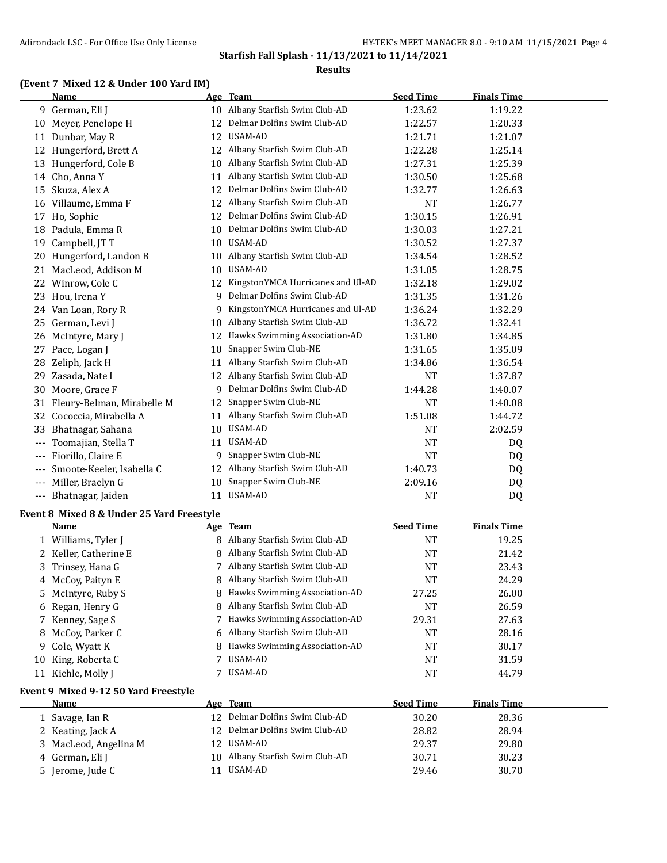#### **Results**

#### **(Event 7 Mixed 12 & Under 100 Yard IM)**

|       | <b>Name</b>                                         |    | Age Team                          | <b>Seed Time</b> | <b>Finals Time</b> |  |
|-------|-----------------------------------------------------|----|-----------------------------------|------------------|--------------------|--|
|       | 9 German, Eli J                                     |    | 10 Albany Starfish Swim Club-AD   | 1:23.62          | 1:19.22            |  |
|       | 10 Meyer, Penelope H                                | 12 | Delmar Dolfins Swim Club-AD       | 1:22.57          | 1:20.33            |  |
|       | 11 Dunbar, May R                                    |    | 12 USAM-AD                        | 1:21.71          | 1:21.07            |  |
|       | 12 Hungerford, Brett A                              |    | 12 Albany Starfish Swim Club-AD   | 1:22.28          | 1:25.14            |  |
|       | 13 Hungerford, Cole B                               | 10 | Albany Starfish Swim Club-AD      | 1:27.31          | 1:25.39            |  |
|       | 14 Cho, Anna Y                                      | 11 | Albany Starfish Swim Club-AD      | 1:30.50          | 1:25.68            |  |
| 15    | Skuza, Alex A                                       | 12 | Delmar Dolfins Swim Club-AD       | 1:32.77          | 1:26.63            |  |
|       | 16 Villaume, Emma F                                 | 12 | Albany Starfish Swim Club-AD      | NT               | 1:26.77            |  |
|       | 17 Ho, Sophie                                       | 12 | Delmar Dolfins Swim Club-AD       | 1:30.15          | 1:26.91            |  |
|       | 18 Padula, Emma R                                   | 10 | Delmar Dolfins Swim Club-AD       | 1:30.03          | 1:27.21            |  |
| 19    | Campbell, JT T                                      | 10 | USAM-AD                           | 1:30.52          | 1:27.37            |  |
|       | 20 Hungerford, Landon B                             | 10 | Albany Starfish Swim Club-AD      | 1:34.54          | 1:28.52            |  |
|       | 21 MacLeod, Addison M                               | 10 | USAM-AD                           | 1:31.05          | 1:28.75            |  |
|       | 22 Winrow, Cole C                                   | 12 | KingstonYMCA Hurricanes and Ul-AD | 1:32.18          | 1:29.02            |  |
|       | 23 Hou, Irena Y                                     | 9  | Delmar Dolfins Swim Club-AD       | 1:31.35          | 1:31.26            |  |
|       | 24 Van Loan, Rory R                                 | 9  | KingstonYMCA Hurricanes and Ul-AD | 1:36.24          | 1:32.29            |  |
|       | 25 German, Levi J                                   | 10 | Albany Starfish Swim Club-AD      | 1:36.72          | 1:32.41            |  |
|       | 26 McIntyre, Mary J                                 | 12 | Hawks Swimming Association-AD     | 1:31.80          | 1:34.85            |  |
|       | 27 Pace, Logan J                                    | 10 | Snapper Swim Club-NE              | 1:31.65          | 1:35.09            |  |
| 28    | Zeliph, Jack H                                      | 11 | Albany Starfish Swim Club-AD      | 1:34.86          | 1:36.54            |  |
| 29    | Zasada, Nate I                                      | 12 | Albany Starfish Swim Club-AD      | NT               | 1:37.87            |  |
|       | 30 Moore, Grace F                                   | 9  | Delmar Dolfins Swim Club-AD       | 1:44.28          | 1:40.07            |  |
|       | 31 Fleury-Belman, Mirabelle M                       | 12 | Snapper Swim Club-NE              | NT               | 1:40.08            |  |
| 32    | Cococcia, Mirabella A                               | 11 | Albany Starfish Swim Club-AD      | 1:51.08          | 1:44.72            |  |
| 33    | Bhatnagar, Sahana                                   | 10 | USAM-AD                           | NT               | 2:02.59            |  |
| ---   | Toomajian, Stella T                                 | 11 | USAM-AD                           | NT               | DQ                 |  |
| $---$ | Fiorillo, Claire E                                  | 9  | Snapper Swim Club-NE              | <b>NT</b>        | DQ                 |  |
|       | Smoote-Keeler, Isabella C                           | 12 | Albany Starfish Swim Club-AD      | 1:40.73          | DQ                 |  |
| $---$ | Miller, Braelyn G                                   | 10 | Snapper Swim Club-NE              | 2:09.16          | DQ                 |  |
|       | --- Bhatnagar, Jaiden                               | 11 | USAM-AD                           | NT               | DQ                 |  |
|       | Event 8 Mixed 8 & Under 25 Yard Freestyle           |    |                                   |                  |                    |  |
|       | Name                                                |    | <u>Age Team</u>                   | <b>Seed Time</b> | <b>Finals Time</b> |  |
|       | 1 Williams, Tyler J                                 |    | 8 Albany Starfish Swim Club-AD    | NT               | 19.25              |  |
|       | 2 Keller, Catherine E                               |    | Albany Starfish Swim Club-AD      | NT               | 21.42              |  |
|       | 3 Trinsey, Hana G                                   |    | 7 Albany Starfish Swim Club-AD    | <b>NT</b>        | 23.43              |  |
|       | McCoy, Paityn E                                     |    | Albany Starfish Swim Club-AD      | <b>NT</b>        | 24.29              |  |
| 5     | McIntyre, Ruby S                                    | 8  | Hawks Swimming Association-AD     | 27.25            | 26.00              |  |
|       | 6 Regan, Henry G                                    | 8  | Albany Starfish Swim Club-AD      | NT               | 26.59              |  |
|       | 7 Kenney, Sage S                                    | 7  | Hawks Swimming Association-AD     | 29.31            | 27.63              |  |
|       | 8 McCoy, Parker C                                   | 6  | Albany Starfish Swim Club-AD      | NT               | 28.16              |  |
| 9     | Cole, Wyatt K                                       | 8  | Hawks Swimming Association-AD     | <b>NT</b>        | 30.17              |  |
|       | 10 King, Roberta C                                  | 7  | <b>USAM-AD</b>                    | <b>NT</b>        | 31.59              |  |
|       | 11 Kiehle, Molly J                                  | 7  | USAM-AD                           | <b>NT</b>        | 44.79              |  |
|       |                                                     |    |                                   |                  |                    |  |
|       | Event 9 Mixed 9-12 50 Yard Freestyle<br><b>Name</b> |    | Age Team                          | <b>Seed Time</b> | <b>Finals Time</b> |  |
|       | 1 Savage, Ian R                                     |    | 12 Delmar Dolfins Swim Club-AD    | 30.20            | 28.36              |  |

| 1 Savage, Ian R       | Delmar Dolfins Swim Club-AD<br>12. | 30.20 | 28.36 |  |
|-----------------------|------------------------------------|-------|-------|--|
| 2 Keating, Jack A     | 12 Delmar Dolfins Swim Club-AD     | 28.82 | 28.94 |  |
| 3 MacLeod, Angelina M | 12 USAM-AD                         | 29.37 | 29.80 |  |
| 4 German, Eli J       | 10 Albany Starfish Swim Club-AD    | 30.71 | 30.23 |  |
| 5 Jerome, Jude C      | USAM-AD                            | 29.46 | 30.70 |  |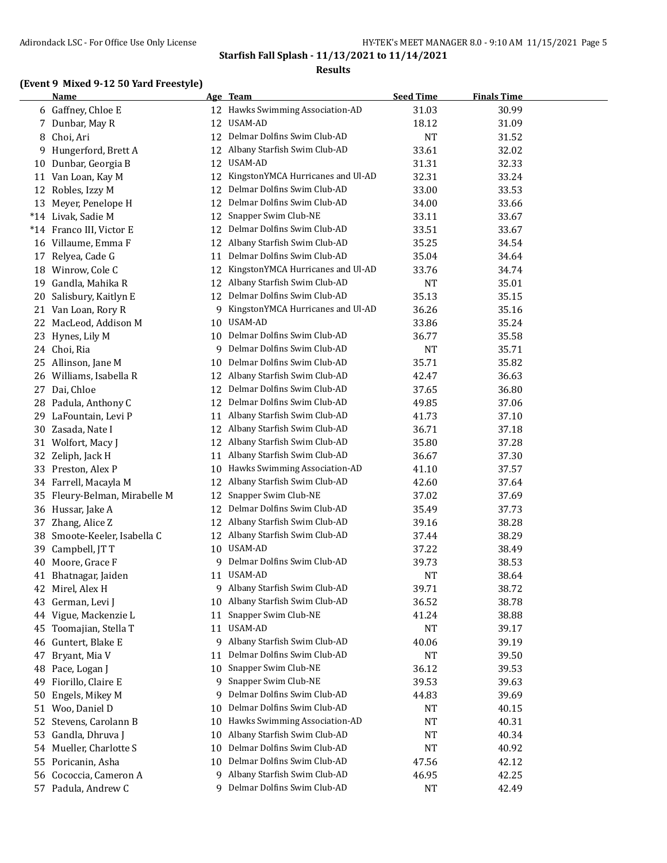**Starfish Fall Splash - 11/13/2021 to 11/14/2021 Results**

## **(Event 9 Mixed 9-12 50 Yard Freestyle)**

|    | <b>Name</b>                |    | Age Team                          | <b>Seed Time</b> | <b>Finals Time</b> |  |
|----|----------------------------|----|-----------------------------------|------------------|--------------------|--|
|    | 6 Gaffney, Chloe E         |    | 12 Hawks Swimming Association-AD  | 31.03            | 30.99              |  |
|    | 7 Dunbar, May R            | 12 | USAM-AD                           | 18.12            | 31.09              |  |
| 8  | Choi, Ari                  | 12 | Delmar Dolfins Swim Club-AD       | NT               | 31.52              |  |
|    | 9 Hungerford, Brett A      | 12 | Albany Starfish Swim Club-AD      | 33.61            | 32.02              |  |
| 10 | Dunbar, Georgia B          | 12 | USAM-AD                           | 31.31            | 32.33              |  |
|    | 11 Van Loan, Kay M         | 12 | KingstonYMCA Hurricanes and Ul-AD | 32.31            | 33.24              |  |
|    | 12 Robles, Izzy M          | 12 | Delmar Dolfins Swim Club-AD       | 33.00            | 33.53              |  |
| 13 | Meyer, Penelope H          | 12 | Delmar Dolfins Swim Club-AD       | 34.00            | 33.66              |  |
|    | *14 Livak, Sadie M         | 12 | Snapper Swim Club-NE              | 33.11            | 33.67              |  |
|    | *14 Franco III, Victor E   | 12 | Delmar Dolfins Swim Club-AD       | 33.51            | 33.67              |  |
|    | 16 Villaume, Emma F        | 12 | Albany Starfish Swim Club-AD      | 35.25            | 34.54              |  |
|    | 17 Relyea, Cade G          | 11 | Delmar Dolfins Swim Club-AD       | 35.04            | 34.64              |  |
| 18 | Winrow, Cole C             | 12 | KingstonYMCA Hurricanes and Ul-AD | 33.76            | 34.74              |  |
| 19 | Gandla, Mahika R           | 12 | Albany Starfish Swim Club-AD      | NT               | 35.01              |  |
| 20 | Salisbury, Kaitlyn E       | 12 | Delmar Dolfins Swim Club-AD       | 35.13            | 35.15              |  |
|    | 21 Van Loan, Rory R        | 9  | KingstonYMCA Hurricanes and Ul-AD | 36.26            | 35.16              |  |
| 22 | MacLeod, Addison M         | 10 | USAM-AD                           | 33.86            | 35.24              |  |
|    | 23 Hynes, Lily M           | 10 | Delmar Dolfins Swim Club-AD       | 36.77            | 35.58              |  |
|    | 24 Choi, Ria               | 9  | Delmar Dolfins Swim Club-AD       | NT               | 35.71              |  |
|    | 25 Allinson, Jane M        | 10 | Delmar Dolfins Swim Club-AD       | 35.71            | 35.82              |  |
|    | 26 Williams, Isabella R    |    | 12 Albany Starfish Swim Club-AD   | 42.47            | 36.63              |  |
|    | 27 Dai, Chloe              | 12 | Delmar Dolfins Swim Club-AD       | 37.65            | 36.80              |  |
|    | 28 Padula, Anthony C       |    | 12 Delmar Dolfins Swim Club-AD    | 49.85            | 37.06              |  |
|    | 29 LaFountain, Levi P      | 11 | Albany Starfish Swim Club-AD      | 41.73            | 37.10              |  |
| 30 | Zasada, Nate I             |    | 12 Albany Starfish Swim Club-AD   | 36.71            | 37.18              |  |
| 31 | Wolfort, Macy J            | 12 | Albany Starfish Swim Club-AD      | 35.80            | 37.28              |  |
|    | 32 Zeliph, Jack H          | 11 | Albany Starfish Swim Club-AD      | 36.67            | 37.30              |  |
|    | 33 Preston, Alex P         | 10 | Hawks Swimming Association-AD     | 41.10            | 37.57              |  |
|    | 34 Farrell, Macayla M      | 12 | Albany Starfish Swim Club-AD      | 42.60            | 37.64              |  |
| 35 | Fleury-Belman, Mirabelle M | 12 | Snapper Swim Club-NE              | 37.02            | 37.69              |  |
|    | 36 Hussar, Jake A          | 12 | Delmar Dolfins Swim Club-AD       | 35.49            | 37.73              |  |
|    | 37 Zhang, Alice Z          | 12 | Albany Starfish Swim Club-AD      | 39.16            | 38.28              |  |
| 38 | Smoote-Keeler, Isabella C  | 12 | Albany Starfish Swim Club-AD      | 37.44            | 38.29              |  |
| 39 | Campbell, JT T             | 10 | USAM-AD                           | 37.22            | 38.49              |  |
| 40 | Moore, Grace F             | 9  | Delmar Dolfins Swim Club-AD       | 39.73            | 38.53              |  |
|    | 41 Bhatnagar, Jaiden       |    | 11 USAM-AD                        | NT               | 38.64              |  |
|    | 42 Mirel, Alex H           | 9. | Albany Starfish Swim Club-AD      | 39.71            | 38.72              |  |
| 43 | German, Levi J             | 10 | Albany Starfish Swim Club-AD      | 36.52            | 38.78              |  |
| 44 | Vigue, Mackenzie L         | 11 | Snapper Swim Club-NE              | 41.24            | 38.88              |  |
| 45 | Toomajian, Stella T        | 11 | USAM-AD                           | <b>NT</b>        | 39.17              |  |
| 46 | Guntert, Blake E           | 9  | Albany Starfish Swim Club-AD      | 40.06            | 39.19              |  |
| 47 | Bryant, Mia V              | 11 | Delmar Dolfins Swim Club-AD       | <b>NT</b>        | 39.50              |  |
| 48 | Pace, Logan J              | 10 | Snapper Swim Club-NE              | 36.12            | 39.53              |  |
| 49 | Fiorillo, Claire E         | 9  | Snapper Swim Club-NE              | 39.53            | 39.63              |  |
| 50 | Engels, Mikey M            | 9  | Delmar Dolfins Swim Club-AD       | 44.83            | 39.69              |  |
| 51 | Woo, Daniel D              | 10 | Delmar Dolfins Swim Club-AD       | NT               | 40.15              |  |
| 52 | Stevens, Carolann B        | 10 | Hawks Swimming Association-AD     | <b>NT</b>        | 40.31              |  |
| 53 | Gandla, Dhruva J           | 10 | Albany Starfish Swim Club-AD      | NT               | 40.34              |  |
| 54 | Mueller, Charlotte S       | 10 | Delmar Dolfins Swim Club-AD       | NT               | 40.92              |  |
| 55 | Poricanin, Asha            | 10 | Delmar Dolfins Swim Club-AD       | 47.56            | 42.12              |  |
| 56 | Cococcia, Cameron A        | 9  | Albany Starfish Swim Club-AD      | 46.95            | 42.25              |  |
|    | 57 Padula, Andrew C        | 9. | Delmar Dolfins Swim Club-AD       | <b>NT</b>        | 42.49              |  |
|    |                            |    |                                   |                  |                    |  |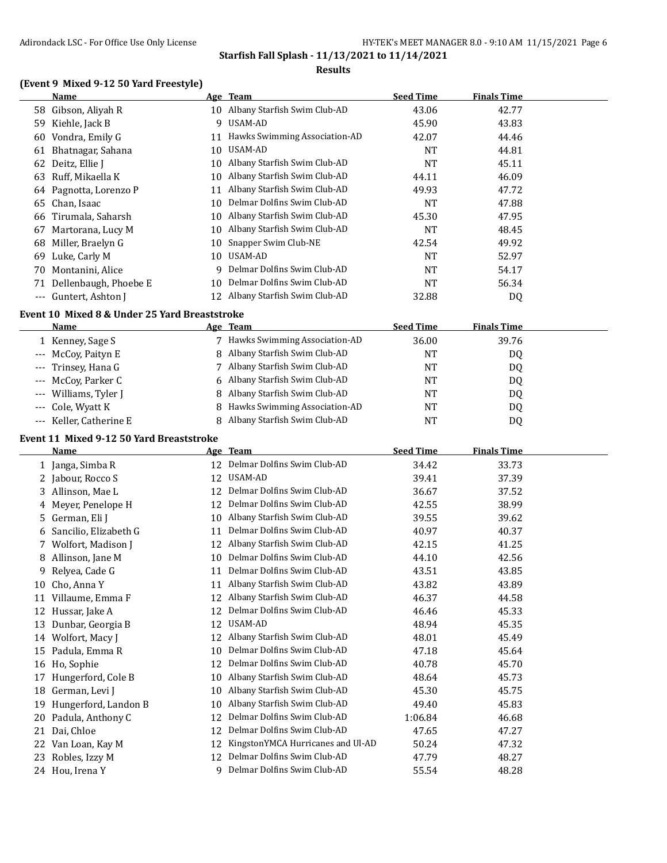#### **Results**

## **(Event 9 Mixed 9-12 50 Yard Freestyle)**

|       | Name                  |    | Age Team                      | <b>Seed Time</b> | <b>Finals Time</b> |  |
|-------|-----------------------|----|-------------------------------|------------------|--------------------|--|
| 58    | Gibson, Aliyah R      | 10 | Albany Starfish Swim Club-AD  | 43.06            | 42.77              |  |
| 59    | Kiehle, Jack B        | 9  | USAM-AD                       | 45.90            | 43.83              |  |
| 60    | Vondra, Emily G       | 11 | Hawks Swimming Association-AD | 42.07            | 44.46              |  |
| 61    | Bhatnagar, Sahana     | 10 | USAM-AD                       | NT               | 44.81              |  |
| 62    | Deitz, Ellie J        | 10 | Albany Starfish Swim Club-AD  | <b>NT</b>        | 45.11              |  |
| 63    | Ruff, Mikaella K      | 10 | Albany Starfish Swim Club-AD  | 44.11            | 46.09              |  |
| 64    | Pagnotta, Lorenzo P   | 11 | Albany Starfish Swim Club-AD  | 49.93            | 47.72              |  |
| 65    | Chan, Isaac           | 10 | Delmar Dolfins Swim Club-AD   | NT               | 47.88              |  |
| 66    | Tirumala, Saharsh     | 10 | Albany Starfish Swim Club-AD  | 45.30            | 47.95              |  |
| 67    | Martorana, Lucy M     | 10 | Albany Starfish Swim Club-AD  | NT               | 48.45              |  |
| 68    | Miller, Braelyn G     | 10 | Snapper Swim Club-NE          | 42.54            | 49.92              |  |
| 69    | Luke, Carly M         | 10 | USAM-AD                       | <b>NT</b>        | 52.97              |  |
| 70    | Montanini, Alice      | q  | Delmar Dolfins Swim Club-AD   | <b>NT</b>        | 54.17              |  |
|       | Dellenbaugh, Phoebe E | 10 | Delmar Dolfins Swim Club-AD   | <b>NT</b>        | 56.34              |  |
| $---$ | Guntert, Ashton J     | 12 | Albany Starfish Swim Club-AD  | 32.88            | DQ                 |  |

#### **Event 10 Mixed 8 & Under 25 Yard Breaststroke**

| <b>Name</b>             | Age Team                        | <b>Seed Time</b> | <b>Finals Time</b> |  |
|-------------------------|---------------------------------|------------------|--------------------|--|
| 1 Kenney, Sage S        | 7 Hawks Swimming Association-AD | 36.00            | 39.76              |  |
| --- McCoy, Paityn E     | 8 Albany Starfish Swim Club-AD  | NT               | DQ                 |  |
| --- Trinsey, Hana G     | Albany Starfish Swim Club-AD    | NT               | DQ                 |  |
| --- McCoy, Parker C     | 6 Albany Starfish Swim Club-AD  | NT               | DQ                 |  |
| --- Williams, Tyler J   | 8 Albany Starfish Swim Club-AD  | NT               | DO                 |  |
| --- Cole, Wyatt K       | 8 Hawks Swimming Association-AD | NT               | DQ                 |  |
| --- Keller, Catherine E | 8 Albany Starfish Swim Club-AD  | NT               | D0                 |  |

## **Event 11 Mixed 9-12 50 Yard Breaststroke**

|    | <b>Name</b>           |    | Age Team                          | <b>Seed Time</b> | <b>Finals Time</b> |  |
|----|-----------------------|----|-----------------------------------|------------------|--------------------|--|
|    | 1 Janga, Simba R      | 12 | Delmar Dolfins Swim Club-AD       | 34.42            | 33.73              |  |
|    | 2 Jabour, Rocco S     | 12 | USAM-AD                           | 39.41            | 37.39              |  |
| 3. | Allinson, Mae L       | 12 | Delmar Dolfins Swim Club-AD       | 36.67            | 37.52              |  |
| 4  | Meyer, Penelope H     | 12 | Delmar Dolfins Swim Club-AD       | 42.55            | 38.99              |  |
| 5. | German, Eli J         | 10 | Albany Starfish Swim Club-AD      | 39.55            | 39.62              |  |
| 6  | Sancilio, Elizabeth G | 11 | Delmar Dolfins Swim Club-AD       | 40.97            | 40.37              |  |
| 7  | Wolfort, Madison J    | 12 | Albany Starfish Swim Club-AD      | 42.15            | 41.25              |  |
| 8  | Allinson, Jane M      | 10 | Delmar Dolfins Swim Club-AD       | 44.10            | 42.56              |  |
| 9  | Relyea, Cade G        | 11 | Delmar Dolfins Swim Club-AD       | 43.51            | 43.85              |  |
| 10 | Cho, Anna Y           | 11 | Albany Starfish Swim Club-AD      | 43.82            | 43.89              |  |
| 11 | Villaume, Emma F      | 12 | Albany Starfish Swim Club-AD      | 46.37            | 44.58              |  |
| 12 | Hussar, Jake A        | 12 | Delmar Dolfins Swim Club-AD       | 46.46            | 45.33              |  |
| 13 | Dunbar, Georgia B     | 12 | USAM-AD                           | 48.94            | 45.35              |  |
| 14 | Wolfort, Macy J       | 12 | Albany Starfish Swim Club-AD      | 48.01            | 45.49              |  |
| 15 | Padula, Emma R        | 10 | Delmar Dolfins Swim Club-AD       | 47.18            | 45.64              |  |
| 16 | Ho, Sophie            | 12 | Delmar Dolfins Swim Club-AD       | 40.78            | 45.70              |  |
| 17 | Hungerford, Cole B    | 10 | Albany Starfish Swim Club-AD      | 48.64            | 45.73              |  |
| 18 | German, Levi J        | 10 | Albany Starfish Swim Club-AD      | 45.30            | 45.75              |  |
| 19 | Hungerford, Landon B  | 10 | Albany Starfish Swim Club-AD      | 49.40            | 45.83              |  |
| 20 | Padula, Anthony C     | 12 | Delmar Dolfins Swim Club-AD       | 1:06.84          | 46.68              |  |
| 21 | Dai, Chloe            | 12 | Delmar Dolfins Swim Club-AD       | 47.65            | 47.27              |  |
| 22 | Van Loan, Kay M       | 12 | KingstonYMCA Hurricanes and Ul-AD | 50.24            | 47.32              |  |
| 23 | Robles, Izzy M        | 12 | Delmar Dolfins Swim Club-AD       | 47.79            | 48.27              |  |
|    | 24 Hou, Irena Y       | q  | Delmar Dolfins Swim Club-AD       | 55.54            | 48.28              |  |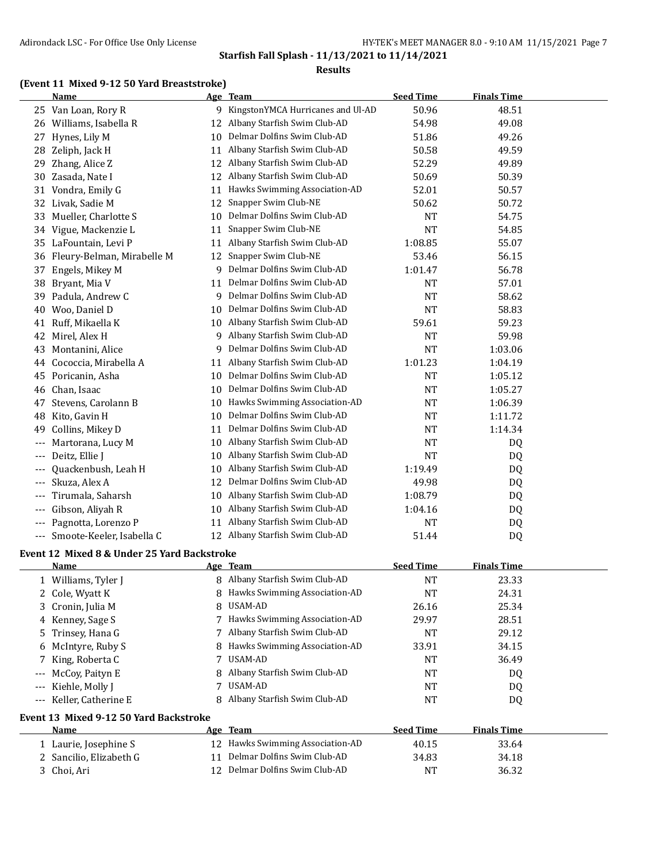#### **Results**

## **(Event 11 Mixed 9-12 50 Yard Breaststroke)**

|                                          | Name                                        |    | Age Team                            | <b>Seed Time</b> | <b>Finals Time</b> |  |
|------------------------------------------|---------------------------------------------|----|-------------------------------------|------------------|--------------------|--|
|                                          | 25 Van Loan, Rory R                         |    | 9 KingstonYMCA Hurricanes and Ul-AD | 50.96            | 48.51              |  |
|                                          | 26 Williams, Isabella R                     | 12 | Albany Starfish Swim Club-AD        | 54.98            | 49.08              |  |
| 27                                       | Hynes, Lily M                               | 10 | Delmar Dolfins Swim Club-AD         | 51.86            | 49.26              |  |
|                                          | 28 Zeliph, Jack H                           | 11 | Albany Starfish Swim Club-AD        | 50.58            | 49.59              |  |
| 29                                       | Zhang, Alice Z                              | 12 | Albany Starfish Swim Club-AD        | 52.29            | 49.89              |  |
| 30                                       | Zasada, Nate I                              | 12 | Albany Starfish Swim Club-AD        | 50.69            | 50.39              |  |
| 31                                       | Vondra, Emily G                             | 11 | Hawks Swimming Association-AD       | 52.01            | 50.57              |  |
| 32                                       | Livak, Sadie M                              | 12 | Snapper Swim Club-NE                | 50.62            | 50.72              |  |
| 33                                       | Mueller, Charlotte S                        | 10 | Delmar Dolfins Swim Club-AD         | NT               | 54.75              |  |
|                                          | 34 Vigue, Mackenzie L                       | 11 | Snapper Swim Club-NE                | <b>NT</b>        | 54.85              |  |
|                                          | 35 LaFountain, Levi P                       | 11 | Albany Starfish Swim Club-AD        | 1:08.85          | 55.07              |  |
| 36                                       | Fleury-Belman, Mirabelle M                  | 12 | Snapper Swim Club-NE                | 53.46            | 56.15              |  |
| 37                                       | Engels, Mikey M                             | 9  | Delmar Dolfins Swim Club-AD         | 1:01.47          | 56.78              |  |
| 38                                       | Bryant, Mia V                               | 11 | Delmar Dolfins Swim Club-AD         | NT               | 57.01              |  |
| 39                                       | Padula, Andrew C                            | 9  | Delmar Dolfins Swim Club-AD         | <b>NT</b>        | 58.62              |  |
| 40                                       | Woo, Daniel D                               | 10 | Delmar Dolfins Swim Club-AD         | <b>NT</b>        | 58.83              |  |
| 41                                       | Ruff, Mikaella K                            | 10 | Albany Starfish Swim Club-AD        | 59.61            | 59.23              |  |
| 42                                       | Mirel, Alex H                               | 9  | Albany Starfish Swim Club-AD        | <b>NT</b>        | 59.98              |  |
| 43                                       | Montanini, Alice                            | 9  | Delmar Dolfins Swim Club-AD         | <b>NT</b>        | 1:03.06            |  |
| 44                                       | Cococcia, Mirabella A                       | 11 | Albany Starfish Swim Club-AD        | 1:01.23          | 1:04.19            |  |
|                                          | 45 Poricanin, Asha                          | 10 | Delmar Dolfins Swim Club-AD         | NT               | 1:05.12            |  |
|                                          | 46 Chan, Isaac                              | 10 | Delmar Dolfins Swim Club-AD         | <b>NT</b>        | 1:05.27            |  |
| 47                                       | Stevens, Carolann B                         | 10 | Hawks Swimming Association-AD       | <b>NT</b>        | 1:06.39            |  |
| 48                                       | Kito, Gavin H                               | 10 | Delmar Dolfins Swim Club-AD         | <b>NT</b>        | 1:11.72            |  |
| 49                                       | Collins, Mikey D                            | 11 | Delmar Dolfins Swim Club-AD         | NT               | 1:14.34            |  |
|                                          |                                             | 10 | Albany Starfish Swim Club-AD        |                  |                    |  |
|                                          | Martorana, Lucy M<br>Deitz, Ellie J         |    | Albany Starfish Swim Club-AD        | NT<br><b>NT</b>  | DQ                 |  |
|                                          |                                             | 10 | Albany Starfish Swim Club-AD        |                  | DQ                 |  |
|                                          | Quackenbush, Leah H                         | 10 | Delmar Dolfins Swim Club-AD         | 1:19.49          | DQ                 |  |
|                                          | Skuza, Alex A                               | 12 |                                     | 49.98            | DQ                 |  |
| ---                                      | Tirumala, Saharsh                           | 10 | Albany Starfish Swim Club-AD        | 1:08.79          | DQ                 |  |
| $---$                                    | Gibson, Aliyah R                            | 10 | Albany Starfish Swim Club-AD        | 1:04.16          | DQ                 |  |
| $---$                                    | Pagnotta, Lorenzo P                         | 11 | Albany Starfish Swim Club-AD        | NT               | DQ                 |  |
| $---$                                    | Smoote-Keeler, Isabella C                   |    | 12 Albany Starfish Swim Club-AD     | 51.44            | DQ                 |  |
|                                          | Event 12 Mixed 8 & Under 25 Yard Backstroke |    |                                     |                  |                    |  |
|                                          | <b>Name</b>                                 |    | Age Team                            | <b>Seed Time</b> | <b>Finals Time</b> |  |
|                                          | 1 Williams, Tyler J                         |    | 8 Albany Starfish Swim Club-AD      | <b>NT</b>        | 23.33              |  |
|                                          | 2 Cole, Wyatt K                             |    | 8 Hawks Swimming Association-AD     | NT               | 24.31              |  |
|                                          | 3 Cronin, Julia M                           | 8  | USAM-AD                             | 26.16            | 25.34              |  |
|                                          | 4 Kenney, Sage S                            | 7  | Hawks Swimming Association-AD       | 29.97            | 28.51              |  |
|                                          | 5 Trinsey, Hana G                           | 7  | Albany Starfish Swim Club-AD        | NT               | 29.12              |  |
| 6                                        | McIntyre, Ruby S                            | 8  | Hawks Swimming Association-AD       | 33.91            | 34.15              |  |
| 7.                                       | King, Roberta C                             | 7  | USAM-AD                             | NT               | 36.49              |  |
|                                          | McCoy, Paityn E                             | 8  | Albany Starfish Swim Club-AD        | NT               | DQ                 |  |
|                                          | Kiehle, Molly J                             | 7  | USAM-AD                             | NT               | DQ                 |  |
| $\hspace{0.05cm} \ldots \hspace{0.05cm}$ | Keller, Catherine E                         | 8  | Albany Starfish Swim Club-AD        | NT               | DQ                 |  |
|                                          | Event 13 Mixed 9-12 50 Yard Backstroke      |    |                                     |                  |                    |  |
|                                          | Name                                        |    | Age Team                            | <b>Seed Time</b> | <b>Finals Time</b> |  |
|                                          | 1 Laurie, Josephine S                       |    | 12 Hawks Swimming Association-AD    | 40.15            | 33.64              |  |
|                                          | 2 Sancilio, Elizabeth G                     |    | 11 Delmar Dolfins Swim Club-AD      | 34.83            | 34.18              |  |
|                                          | 3 Choi, Ari                                 |    | 12 Delmar Dolfins Swim Club-AD      | NT               | 36.32              |  |
|                                          |                                             |    |                                     |                  |                    |  |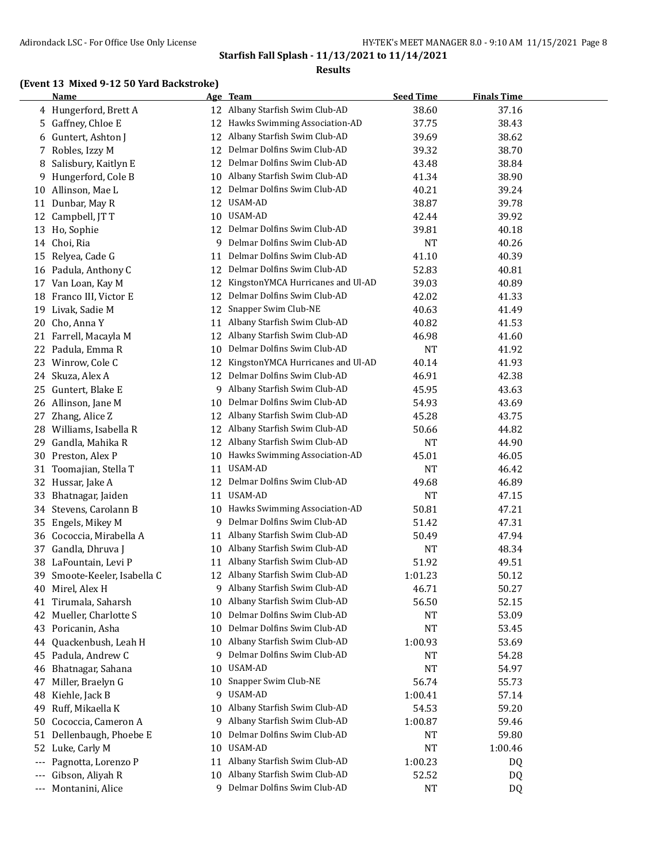#### **Results**

## **(Event 13 Mixed 9-12 50 Yard Backstroke)**

|       | <b>Name</b>               |    | Age Team                          | <b>Seed Time</b> | <b>Finals Time</b> |  |
|-------|---------------------------|----|-----------------------------------|------------------|--------------------|--|
|       | 4 Hungerford, Brett A     |    | 12 Albany Starfish Swim Club-AD   | 38.60            | 37.16              |  |
|       | 5 Gaffney, Chloe E        | 12 | Hawks Swimming Association-AD     | 37.75            | 38.43              |  |
| 6     | Guntert, Ashton J         | 12 | Albany Starfish Swim Club-AD      | 39.69            | 38.62              |  |
|       | 7 Robles, Izzy M          | 12 | Delmar Dolfins Swim Club-AD       | 39.32            | 38.70              |  |
| 8     | Salisbury, Kaitlyn E      | 12 | Delmar Dolfins Swim Club-AD       | 43.48            | 38.84              |  |
| 9.    | Hungerford, Cole B        | 10 | Albany Starfish Swim Club-AD      | 41.34            | 38.90              |  |
| 10    | Allinson, Mae L           | 12 | Delmar Dolfins Swim Club-AD       | 40.21            | 39.24              |  |
| 11    | Dunbar, May R             | 12 | USAM-AD                           | 38.87            | 39.78              |  |
| 12    | Campbell, JT T            | 10 | USAM-AD                           | 42.44            | 39.92              |  |
| 13    | Ho, Sophie                | 12 | Delmar Dolfins Swim Club-AD       | 39.81            | 40.18              |  |
|       | 14 Choi, Ria              | 9  | Delmar Dolfins Swim Club-AD       | <b>NT</b>        | 40.26              |  |
| 15    | Relyea, Cade G            | 11 | Delmar Dolfins Swim Club-AD       | 41.10            | 40.39              |  |
|       | 16 Padula, Anthony C      | 12 | Delmar Dolfins Swim Club-AD       | 52.83            | 40.81              |  |
| 17    | Van Loan, Kay M           | 12 | KingstonYMCA Hurricanes and Ul-AD | 39.03            | 40.89              |  |
|       | 18 Franco III, Victor E   | 12 | Delmar Dolfins Swim Club-AD       | 42.02            | 41.33              |  |
| 19    | Livak, Sadie M            | 12 | Snapper Swim Club-NE              | 40.63            | 41.49              |  |
| 20    | Cho, Anna Y               | 11 | Albany Starfish Swim Club-AD      | 40.82            | 41.53              |  |
|       | 21 Farrell, Macayla M     | 12 | Albany Starfish Swim Club-AD      | 46.98            | 41.60              |  |
|       | 22 Padula, Emma R         | 10 | Delmar Dolfins Swim Club-AD       | NT               | 41.92              |  |
|       | 23 Winrow, Cole C         | 12 | KingstonYMCA Hurricanes and Ul-AD | 40.14            | 41.93              |  |
|       | 24 Skuza, Alex A          | 12 | Delmar Dolfins Swim Club-AD       | 46.91            | 42.38              |  |
| 25.   | Guntert, Blake E          | 9. | Albany Starfish Swim Club-AD      | 45.95            | 43.63              |  |
|       | 26 Allinson, Jane M       | 10 | Delmar Dolfins Swim Club-AD       | 54.93            | 43.69              |  |
|       | 27 Zhang, Alice Z         | 12 | Albany Starfish Swim Club-AD      | 45.28            | 43.75              |  |
| 28    | Williams, Isabella R      | 12 | Albany Starfish Swim Club-AD      | 50.66            | 44.82              |  |
| 29    | Gandla, Mahika R          | 12 | Albany Starfish Swim Club-AD      | <b>NT</b>        | 44.90              |  |
| 30    | Preston, Alex P           | 10 | Hawks Swimming Association-AD     | 45.01            | 46.05              |  |
|       | 31 Toomajian, Stella T    | 11 | USAM-AD                           | NT               | 46.42              |  |
|       | 32 Hussar, Jake A         | 12 | Delmar Dolfins Swim Club-AD       | 49.68            | 46.89              |  |
| 33    | Bhatnagar, Jaiden         | 11 | USAM-AD                           | <b>NT</b>        | 47.15              |  |
| 34    | Stevens, Carolann B       | 10 | Hawks Swimming Association-AD     | 50.81            | 47.21              |  |
|       | 35 Engels, Mikey M        | 9  | Delmar Dolfins Swim Club-AD       | 51.42            | 47.31              |  |
| 36    | Cococcia, Mirabella A     | 11 | Albany Starfish Swim Club-AD      | 50.49            | 47.94              |  |
| 37    | Gandla, Dhruva J          | 10 | Albany Starfish Swim Club-AD      | NT               | 48.34              |  |
| 38    | LaFountain, Levi P        | 11 | Albany Starfish Swim Club-AD      | 51.92            | 49.51              |  |
| 39    | Smoote-Keeler, Isabella C |    | 12 Albany Starfish Swim Club-AD   | 1:01.23          | 50.12              |  |
| 40    | Mirel, Alex H             | 9  | Albany Starfish Swim Club-AD      | 46.71            | 50.27              |  |
| 41    | Tirumala, Saharsh         | 10 | Albany Starfish Swim Club-AD      | 56.50            | 52.15              |  |
| 42    | Mueller, Charlotte S      | 10 | Delmar Dolfins Swim Club-AD       | <b>NT</b>        | 53.09              |  |
| 43    | Poricanin, Asha           | 10 | Delmar Dolfins Swim Club-AD       | NT               | 53.45              |  |
| 44    | Quackenbush, Leah H       | 10 | Albany Starfish Swim Club-AD      | 1:00.93          | 53.69              |  |
| 45    | Padula, Andrew C          | 9  | Delmar Dolfins Swim Club-AD       | NT               | 54.28              |  |
| 46    | Bhatnagar, Sahana         | 10 | USAM-AD                           | <b>NT</b>        | 54.97              |  |
| 47    | Miller, Braelyn G         | 10 | Snapper Swim Club-NE              | 56.74            | 55.73              |  |
| 48    | Kiehle, Jack B            | 9  | USAM-AD                           | 1:00.41          | 57.14              |  |
| 49    | Ruff, Mikaella K          | 10 | Albany Starfish Swim Club-AD      | 54.53            | 59.20              |  |
| 50    | Cococcia, Cameron A       | 9. | Albany Starfish Swim Club-AD      | 1:00.87          | 59.46              |  |
| 51    | Dellenbaugh, Phoebe E     | 10 | Delmar Dolfins Swim Club-AD       | NT               | 59.80              |  |
| 52    | Luke, Carly M             | 10 | USAM-AD                           | <b>NT</b>        | 1:00.46            |  |
| $---$ | Pagnotta, Lorenzo P       | 11 | Albany Starfish Swim Club-AD      | 1:00.23          | DQ                 |  |
| $---$ | Gibson, Aliyah R          | 10 | Albany Starfish Swim Club-AD      | 52.52            | DQ                 |  |
| $---$ | Montanini, Alice          | 9  | Delmar Dolfins Swim Club-AD       | <b>NT</b>        | DQ                 |  |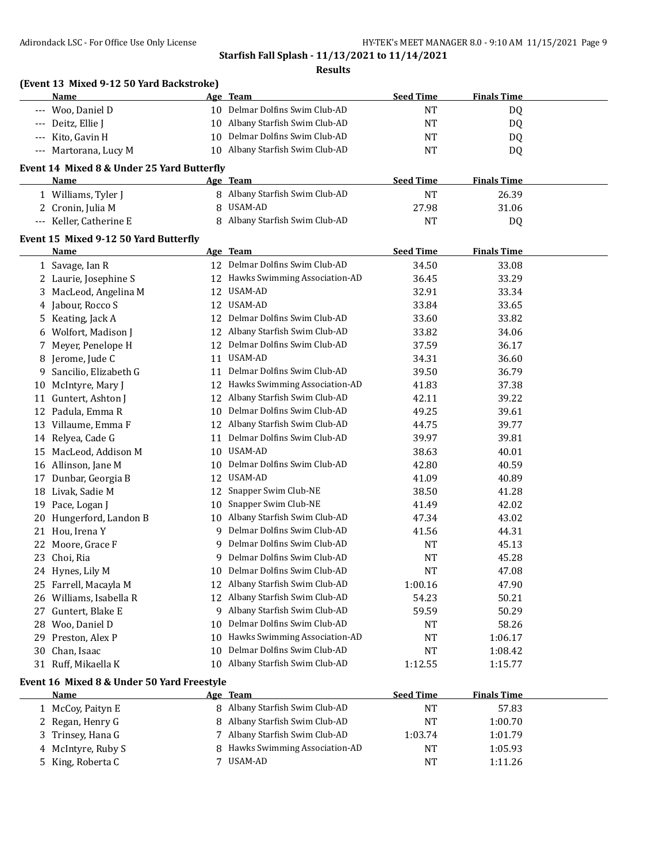**Results**

|          | (Event 13 Mixed 9-12 50 Yard Backstroke)<br>Name |    | Age Team                         | <b>Seed Time</b>     | <b>Finals Time</b> |  |
|----------|--------------------------------------------------|----|----------------------------------|----------------------|--------------------|--|
| $---$    | Woo, Daniel D                                    |    | 10 Delmar Dolfins Swim Club-AD   | <b>NT</b>            | DQ                 |  |
| $---$    | Deitz, Ellie J                                   |    | 10 Albany Starfish Swim Club-AD  | <b>NT</b>            | DQ                 |  |
|          | Kito, Gavin H                                    | 10 | Delmar Dolfins Swim Club-AD      | <b>NT</b>            | DQ                 |  |
|          | --- Martorana, Lucy M                            |    | 10 Albany Starfish Swim Club-AD  | <b>NT</b>            | DQ                 |  |
|          | Event 14 Mixed 8 & Under 25 Yard Butterfly       |    |                                  |                      |                    |  |
|          | Name                                             |    | Age Team                         | <b>Seed Time</b>     | <b>Finals Time</b> |  |
|          | 1 Williams, Tyler J                              |    | 8 Albany Starfish Swim Club-AD   | <b>NT</b>            | 26.39              |  |
|          | 2 Cronin, Julia M                                | 8  | USAM-AD                          | 27.98                | 31.06              |  |
|          | --- Keller, Catherine E                          |    | 8 Albany Starfish Swim Club-AD   | <b>NT</b>            | DQ                 |  |
|          | Event 15 Mixed 9-12 50 Yard Butterfly            |    |                                  |                      |                    |  |
|          | Name                                             |    | Age Team                         | <b>Seed Time</b>     | <b>Finals Time</b> |  |
|          | 1 Savage, Ian R                                  |    | 12 Delmar Dolfins Swim Club-AD   | 34.50                | 33.08              |  |
|          | 2 Laurie, Josephine S                            | 12 | Hawks Swimming Association-AD    | 36.45                | 33.29              |  |
| 3        | MacLeod, Angelina M                              | 12 | USAM-AD                          | 32.91                | 33.34              |  |
|          | 4 Jabour, Rocco S                                | 12 | USAM-AD                          | 33.84                | 33.65              |  |
| 5.       | Keating, Jack A                                  | 12 | Delmar Dolfins Swim Club-AD      | 33.60                | 33.82              |  |
|          | Wolfort, Madison J                               | 12 | Albany Starfish Swim Club-AD     | 33.82                | 34.06              |  |
| 7        | Meyer, Penelope H                                | 12 | Delmar Dolfins Swim Club-AD      | 37.59                | 36.17              |  |
|          | Jerome, Jude C                                   | 11 | <b>USAM-AD</b>                   | 34.31                | 36.60              |  |
| 9.       | Sancilio, Elizabeth G                            | 11 | Delmar Dolfins Swim Club-AD      | 39.50                | 36.79              |  |
| 10       | McIntyre, Mary J                                 |    | 12 Hawks Swimming Association-AD | 41.83                | 37.38              |  |
|          | 11 Guntert, Ashton J                             |    | 12 Albany Starfish Swim Club-AD  | 42.11                | 39.22              |  |
|          | 12 Padula, Emma R                                |    | 10 Delmar Dolfins Swim Club-AD   | 49.25                | 39.61              |  |
|          | 13 Villaume, Emma F                              |    | 12 Albany Starfish Swim Club-AD  | 44.75                | 39.77              |  |
|          | 14 Relyea, Cade G                                | 11 | Delmar Dolfins Swim Club-AD      | 39.97                | 39.81              |  |
| 15       | MacLeod, Addison M                               |    | 10 USAM-AD                       | 38.63                | 40.01              |  |
|          | 16 Allinson, Jane M                              |    | 10 Delmar Dolfins Swim Club-AD   | 42.80                | 40.59              |  |
| 17       | Dunbar, Georgia B                                | 12 | USAM-AD                          | 41.09                | 40.89              |  |
|          | 18 Livak, Sadie M                                | 12 | Snapper Swim Club-NE             | 38.50                | 41.28              |  |
| 19       | Pace, Logan J                                    | 10 | Snapper Swim Club-NE             | 41.49                | 42.02              |  |
| 20       | Hungerford, Landon B                             |    | 10 Albany Starfish Swim Club-AD  | 47.34                | 43.02              |  |
|          | 21 Hou, Irena Y                                  |    | 9 Delmar Dolfins Swim Club-AD    | 41.56                | 44.31              |  |
|          | 22 Moore, Grace F                                | 9  | Delmar Dolfins Swim Club-AD      | NT                   | 45.13              |  |
|          | 23 Choi, Ria                                     |    | 9 Delmar Dolfins Swim Club-AD    | <b>NT</b>            | 45.28              |  |
|          | 24 Hynes, Lily M                                 |    | 10 Delmar Dolfins Swim Club-AD   | <b>NT</b>            | 47.08              |  |
|          | 25 Farrell, Macayla M                            | 12 | Albany Starfish Swim Club-AD     | 1:00.16              | 47.90              |  |
|          | 26 Williams, Isabella R                          | 12 | Albany Starfish Swim Club-AD     | 54.23                | 50.21              |  |
| 27       | Guntert, Blake E                                 |    | 9 Albany Starfish Swim Club-AD   | 59.59                | 50.29              |  |
|          | Woo, Daniel D                                    | 10 | Delmar Dolfins Swim Club-AD      |                      | 58.26              |  |
| 28       | Preston, Alex P                                  | 10 | Hawks Swimming Association-AD    | NT<br>NT             | 1:06.17            |  |
| 29       |                                                  | 10 | Delmar Dolfins Swim Club-AD      |                      |                    |  |
| 30<br>31 | Chan, Isaac<br>Ruff, Mikaella K                  |    | 10 Albany Starfish Swim Club-AD  | <b>NT</b><br>1:12.55 | 1:08.42<br>1:15.77 |  |
|          | Event 16 Mixed 8 & Under 50 Yard Freestyle       |    |                                  |                      |                    |  |
|          | <u>Name</u>                                      |    | Age Team                         | <b>Seed Time</b>     | <b>Finals Time</b> |  |
|          | 1 McCoy, Paityn E                                |    | 8 Albany Starfish Swim Club-AD   | <b>NT</b>            | 57.83              |  |
|          | 2 Regan, Henry G                                 | 8  | Albany Starfish Swim Club-AD     | <b>NT</b>            | 1:00.70            |  |
| 3        | Trinsey, Hana G                                  | 7  | Albany Starfish Swim Club-AD     | 1:03.74              | 1:01.79            |  |
| 4        | McIntyre, Ruby S                                 |    | 8 Hawks Swimming Association-AD  | <b>NT</b>            | 1:05.93            |  |
| 5.       | King, Roberta C                                  | 7  | USAM-AD                          | NT                   | 1:11.26            |  |
|          |                                                  |    |                                  |                      |                    |  |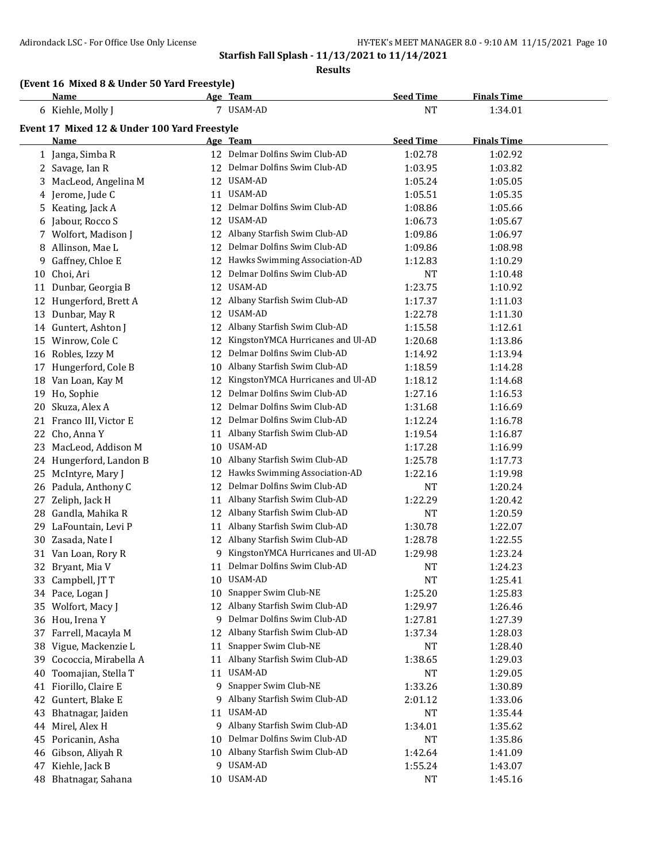**Results**

## **(Event 16 Mixed 8 & Under 50 Yard Freestyle)**

|     | Name                                         |                 | Age Team                             | <b>Seed Time</b> | <b>Finals Time</b> |  |
|-----|----------------------------------------------|-----------------|--------------------------------------|------------------|--------------------|--|
|     | 6 Kiehle, Molly J                            |                 | 7 USAM-AD                            | <b>NT</b>        | 1:34.01            |  |
|     | Event 17 Mixed 12 & Under 100 Yard Freestyle |                 |                                      |                  |                    |  |
|     | Name                                         |                 | <u>Age Team</u>                      | <b>Seed Time</b> | <b>Finals Time</b> |  |
|     | 1 Janga, Simba R                             |                 | 12 Delmar Dolfins Swim Club-AD       | 1:02.78          | 1:02.92            |  |
|     | 2 Savage, Ian R                              |                 | 12 Delmar Dolfins Swim Club-AD       | 1:03.95          | 1:03.82            |  |
| 3   | MacLeod, Angelina M                          |                 | 12 USAM-AD                           | 1:05.24          | 1:05.05            |  |
|     | 4 Jerome, Jude C                             |                 | 11 USAM-AD                           | 1:05.51          | 1:05.35            |  |
|     | 5 Keating, Jack A                            |                 | 12 Delmar Dolfins Swim Club-AD       | 1:08.86          | 1:05.66            |  |
|     | 6 Jabour, Rocco S                            |                 | 12 USAM-AD                           | 1:06.73          | 1:05.67            |  |
|     | 7 Wolfort, Madison J                         |                 | 12 Albany Starfish Swim Club-AD      | 1:09.86          | 1:06.97            |  |
| 8   | Allinson, Mae L                              |                 | 12 Delmar Dolfins Swim Club-AD       | 1:09.86          | 1:08.98            |  |
| 9   | Gaffney, Chloe E                             |                 | 12 Hawks Swimming Association-AD     | 1:12.83          | 1:10.29            |  |
|     | 10 Choi, Ari                                 |                 | 12 Delmar Dolfins Swim Club-AD       | NT               | 1:10.48            |  |
|     | 11 Dunbar, Georgia B                         |                 | 12 USAM-AD                           | 1:23.75          | 1:10.92            |  |
|     | 12 Hungerford, Brett A                       |                 | 12 Albany Starfish Swim Club-AD      | 1:17.37          | 1:11.03            |  |
|     | 13 Dunbar, May R                             |                 | 12 USAM-AD                           | 1:22.78          | 1:11.30            |  |
|     | 14 Guntert, Ashton J                         |                 | 12 Albany Starfish Swim Club-AD      | 1:15.58          | 1:12.61            |  |
|     | 15 Winrow, Cole C                            |                 | 12 KingstonYMCA Hurricanes and Ul-AD | 1:20.68          | 1:13.86            |  |
| 16  | Robles, Izzy M                               |                 | 12 Delmar Dolfins Swim Club-AD       | 1:14.92          | 1:13.94            |  |
| 17  | Hungerford, Cole B                           |                 | 10 Albany Starfish Swim Club-AD      | 1:18.59          | 1:14.28            |  |
| 18  | Van Loan, Kay M                              |                 | 12 KingstonYMCA Hurricanes and Ul-AD | 1:18.12          | 1:14.68            |  |
| 19  | Ho, Sophie                                   |                 | 12 Delmar Dolfins Swim Club-AD       | 1:27.16          | 1:16.53            |  |
| 20  | Skuza, Alex A                                |                 | 12 Delmar Dolfins Swim Club-AD       | 1:31.68          | 1:16.69            |  |
| 21  | Franco III, Victor E                         |                 | 12 Delmar Dolfins Swim Club-AD       | 1:12.24          | 1:16.78            |  |
| 22  | Cho, Anna Y                                  |                 | 11 Albany Starfish Swim Club-AD      | 1:19.54          | 1:16.87            |  |
| 23  | MacLeod, Addison M                           |                 | 10 USAM-AD                           | 1:17.28          | 1:16.99            |  |
|     | 24 Hungerford, Landon B                      |                 | 10 Albany Starfish Swim Club-AD      | 1:25.78          | 1:17.73            |  |
| 25  | McIntyre, Mary J                             |                 | 12 Hawks Swimming Association-AD     | 1:22.16          | 1:19.98            |  |
|     | 26 Padula, Anthony C                         |                 | 12 Delmar Dolfins Swim Club-AD       | NT               | 1:20.24            |  |
| 27  | Zeliph, Jack H                               |                 | 11 Albany Starfish Swim Club-AD      | 1:22.29          | 1:20.42            |  |
|     | 28 Gandla, Mahika R                          |                 | 12 Albany Starfish Swim Club-AD      | NT               | 1:20.59            |  |
| 29. | LaFountain, Levi P                           |                 | 11 Albany Starfish Swim Club-AD      | 1:30.78          | 1:22.07            |  |
|     | 30 Zasada, Nate I                            |                 | 12 Albany Starfish Swim Club-AD      | 1:28.78          | 1:22.55            |  |
|     | 31 Van Loan, Rory R                          |                 | 9 KingstonYMCA Hurricanes and Ul-AD  | 1:29.98          | 1:23.24            |  |
|     | 32 Bryant, Mia V                             |                 | 11 Delmar Dolfins Swim Club-AD       | NT               | 1:24.23            |  |
|     | 33 Campbell, JTT                             |                 | 10 USAM-AD                           | <b>NT</b>        | 1:25.41            |  |
|     | 34 Pace, Logan J                             |                 | 10 Snapper Swim Club-NE              | 1:25.20          | 1:25.83            |  |
|     | 35 Wolfort, Macy J                           |                 | 12 Albany Starfish Swim Club-AD      | 1:29.97          | 1:26.46            |  |
|     | 36 Hou, Irena Y                              | 9.              | Delmar Dolfins Swim Club-AD          | 1:27.81          | 1:27.39            |  |
|     | 37 Farrell, Macayla M                        |                 | 12 Albany Starfish Swim Club-AD      | 1:37.34          | 1:28.03            |  |
| 38  | Vigue, Mackenzie L                           | 11              | Snapper Swim Club-NE                 | NT               | 1:28.40            |  |
| 39  | Cococcia, Mirabella A                        |                 | 11 Albany Starfish Swim Club-AD      | 1:38.65          | 1:29.03            |  |
| 40  | Toomajian, Stella T                          |                 | 11 USAM-AD                           | NT               | 1:29.05            |  |
|     | 41 Fiorillo, Claire E                        | 9               | Snapper Swim Club-NE                 | 1:33.26          | 1:30.89            |  |
|     | 42 Guntert, Blake E                          | 9               | Albany Starfish Swim Club-AD         | 2:01.12          | 1:33.06            |  |
| 43  | Bhatnagar, Jaiden                            |                 | 11 USAM-AD                           | NT               | 1:35.44            |  |
|     | 44 Mirel, Alex H                             | 9               | Albany Starfish Swim Club-AD         | 1:34.01          | 1:35.62            |  |
| 45  | Poricanin, Asha                              | 10 <sup>°</sup> | Delmar Dolfins Swim Club-AD          | <b>NT</b>        | 1:35.86            |  |
| 46  | Gibson, Aliyah R                             |                 | 10 Albany Starfish Swim Club-AD      | 1:42.64          | 1:41.09            |  |
| 47  | Kiehle, Jack B                               |                 | 9 USAM-AD                            | 1:55.24          | 1:43.07            |  |
|     | 48 Bhatnagar, Sahana                         |                 | 10 USAM-AD                           | <b>NT</b>        | 1:45.16            |  |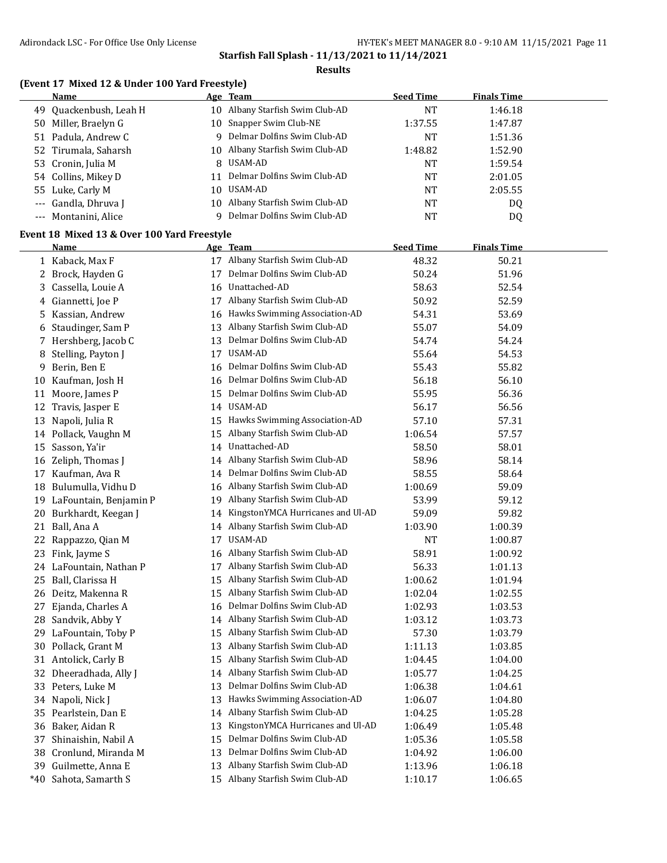#### **Results**

## **(Event 17 Mixed 12 & Under 100 Yard Freestyle)**

| Name                   |     | <u>Age Team</u>                 | <b>Seed Time</b> | <b>Finals Time</b> |
|------------------------|-----|---------------------------------|------------------|--------------------|
| 49 Ouackenbush, Leah H | 10  | Albany Starfish Swim Club-AD    | NT               | 1:46.18            |
| 50 Miller, Braelyn G   |     | 10 Snapper Swim Club-NE         | 1:37.55          | 1:47.87            |
| 51 Padula, Andrew C    | 9   | Delmar Dolfins Swim Club-AD     | <b>NT</b>        | 1:51.36            |
| 52 Tirumala, Saharsh   |     | 10 Albany Starfish Swim Club-AD | 1:48.82          | 1:52.90            |
| 53 Cronin, Julia M     |     | 8 USAM-AD                       | <b>NT</b>        | 1:59.54            |
| 54 Collins, Mikey D    |     | Delmar Dolfins Swim Club-AD     | NT               | 2:01.05            |
| 55 Luke, Carly M       | 10. | USAM-AD                         | NT               | 2:05.55            |
| --- Gandla, Dhruva J   |     | 10 Albany Starfish Swim Club-AD | NT               | DQ                 |
| --- Montanini, Alice   |     | Delmar Dolfins Swim Club-AD     | <b>NT</b>        | DQ                 |

## **Event 18 Mixed 13 & Over 100 Yard Freestyle**

|       | <b>Name</b>             |    | Age Team                             | <b>Seed Time</b> | <b>Finals Time</b> |
|-------|-------------------------|----|--------------------------------------|------------------|--------------------|
|       | 1 Kaback, Max F         |    | 17 Albany Starfish Swim Club-AD      | 48.32            | 50.21              |
|       | 2 Brock, Hayden G       | 17 | Delmar Dolfins Swim Club-AD          | 50.24            | 51.96              |
| 3     | Cassella, Louie A       |    | 16 Unattached-AD                     | 58.63            | 52.54              |
|       | 4 Giannetti, Joe P      |    | 17 Albany Starfish Swim Club-AD      | 50.92            | 52.59              |
| 5     | Kassian, Andrew         | 16 | Hawks Swimming Association-AD        | 54.31            | 53.69              |
| 6     | Staudinger, Sam P       | 13 | Albany Starfish Swim Club-AD         | 55.07            | 54.09              |
| 7     | Hershberg, Jacob C      | 13 | Delmar Dolfins Swim Club-AD          | 54.74            | 54.24              |
| 8     | Stelling, Payton J      |    | 17 USAM-AD                           | 55.64            | 54.53              |
| 9     | Berin, Ben E            | 16 | Delmar Dolfins Swim Club-AD          | 55.43            | 55.82              |
| 10    | Kaufman, Josh H         | 16 | Delmar Dolfins Swim Club-AD          | 56.18            | 56.10              |
| 11    | Moore, James P          | 15 | Delmar Dolfins Swim Club-AD          | 55.95            | 56.36              |
| 12    | Travis, Jasper E        | 14 | <b>USAM-AD</b>                       | 56.17            | 56.56              |
| 13    | Napoli, Julia R         | 15 | Hawks Swimming Association-AD        | 57.10            | 57.31              |
|       | 14 Pollack, Vaughn M    | 15 | Albany Starfish Swim Club-AD         | 1:06.54          | 57.57              |
|       | 15 Sasson, Ya'ir        | 14 | Unattached-AD                        | 58.50            | 58.01              |
| 16    | Zeliph, Thomas J        | 14 | Albany Starfish Swim Club-AD         | 58.96            | 58.14              |
| 17    | Kaufman, Ava R          | 14 | Delmar Dolfins Swim Club-AD          | 58.55            | 58.64              |
| 18    | Bulumulla, Vidhu D      | 16 | Albany Starfish Swim Club-AD         | 1:00.69          | 59.09              |
| 19    | LaFountain, Benjamin P  | 19 | Albany Starfish Swim Club-AD         | 53.99            | 59.12              |
| 20    | Burkhardt, Keegan J     |    | 14 KingstonYMCA Hurricanes and Ul-AD | 59.09            | 59.82              |
|       | 21 Ball, Ana A          | 14 | Albany Starfish Swim Club-AD         | 1:03.90          | 1:00.39            |
| 22    | Rappazzo, Qian M        | 17 | USAM-AD                              | <b>NT</b>        | 1:00.87            |
| 23    | Fink, Jayme S           | 16 | Albany Starfish Swim Club-AD         | 58.91            | 1:00.92            |
|       | 24 LaFountain, Nathan P | 17 | Albany Starfish Swim Club-AD         | 56.33            | 1:01.13            |
| 25    | Ball, Clarissa H        | 15 | Albany Starfish Swim Club-AD         | 1:00.62          | 1:01.94            |
|       | 26 Deitz, Makenna R     |    | 15 Albany Starfish Swim Club-AD      | 1:02.04          | 1:02.55            |
| 27    | Ejanda, Charles A       | 16 | Delmar Dolfins Swim Club-AD          | 1:02.93          | 1:03.53            |
| 28    | Sandvik, Abby Y         | 14 | Albany Starfish Swim Club-AD         | 1:03.12          | 1:03.73            |
| 29    | LaFountain, Toby P      | 15 | Albany Starfish Swim Club-AD         | 57.30            | 1:03.79            |
| 30    | Pollack, Grant M        | 13 | Albany Starfish Swim Club-AD         | 1:11.13          | 1:03.85            |
|       | 31 Antolick, Carly B    |    | 15 Albany Starfish Swim Club-AD      | 1:04.45          | 1:04.00            |
| 32    | Dheeradhada, Ally J     | 14 | Albany Starfish Swim Club-AD         | 1:05.77          | 1:04.25            |
| 33    | Peters, Luke M          | 13 | Delmar Dolfins Swim Club-AD          | 1:06.38          | 1:04.61            |
| 34    | Napoli, Nick J          | 13 | Hawks Swimming Association-AD        | 1:06.07          | 1:04.80            |
| 35    | Pearlstein, Dan E       | 14 | Albany Starfish Swim Club-AD         | 1:04.25          | 1:05.28            |
|       | 36 Baker, Aidan R       | 13 | KingstonYMCA Hurricanes and Ul-AD    | 1:06.49          | 1:05.48            |
| 37    | Shinaishin, Nabil A     | 15 | Delmar Dolfins Swim Club-AD          | 1:05.36          | 1:05.58            |
| 38    | Cronlund, Miranda M     | 13 | Delmar Dolfins Swim Club-AD          | 1:04.92          | 1:06.00            |
| 39    | Guilmette, Anna E       | 13 | Albany Starfish Swim Club-AD         | 1:13.96          | 1:06.18            |
| $*40$ | Sahota, Samarth S       |    | 15 Albany Starfish Swim Club-AD      | 1:10.17          | 1:06.65            |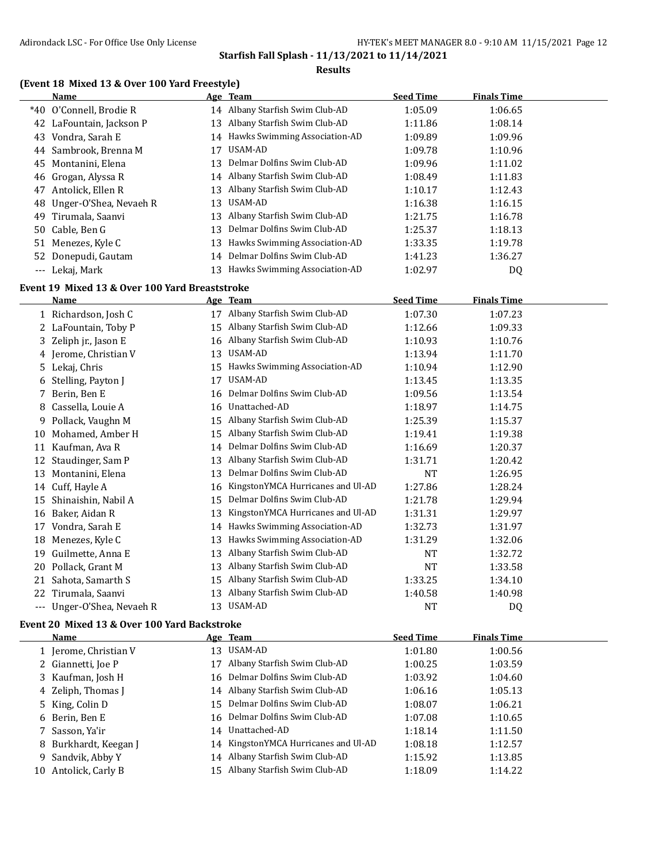#### **Results**

## **(Event 18 Mixed 13 & Over 100 Yard Freestyle)**

|          | Name                     |     | Age Team                         | <b>Seed Time</b> | <b>Finals Time</b> |  |
|----------|--------------------------|-----|----------------------------------|------------------|--------------------|--|
|          | *40 O'Connell, Brodie R  |     | 14 Albany Starfish Swim Club-AD  | 1:05.09          | 1:06.65            |  |
|          | 42 LaFountain, Jackson P | 13  | Albany Starfish Swim Club-AD     | 1:11.86          | 1:08.14            |  |
| 43       | Vondra, Sarah E          |     | 14 Hawks Swimming Association-AD | 1:09.89          | 1:09.96            |  |
|          | 44 Sambrook, Brenna M    | 17  | USAM-AD                          | 1:09.78          | 1:10.96            |  |
| 45       | Montanini, Elena         | 13  | Delmar Dolfins Swim Club-AD      | 1:09.96          | 1:11.02            |  |
|          | 46 Grogan, Alyssa R      |     | 14 Albany Starfish Swim Club-AD  | 1:08.49          | 1:11.83            |  |
| 47       | Antolick, Ellen R        | 13  | Albany Starfish Swim Club-AD     | 1:10.17          | 1:12.43            |  |
| 48       | Unger-O'Shea, Nevaeh R   | 13. | USAM-AD                          | 1:16.38          | 1:16.15            |  |
|          | 49 Tirumala, Saanvi      | 13  | Albany Starfish Swim Club-AD     | 1:21.75          | 1:16.78            |  |
|          | 50 Cable, Ben G          | 13  | Delmar Dolfins Swim Club-AD      | 1:25.37          | 1:18.13            |  |
|          | 51 Menezes, Kyle C       | 13  | Hawks Swimming Association-AD    | 1:33.35          | 1:19.78            |  |
|          | 52 Donepudi, Gautam      |     | 14 Delmar Dolfins Swim Club-AD   | 1:41.23          | 1:36.27            |  |
| $\cdots$ | Lekaj, Mark              |     | Hawks Swimming Association-AD    | 1:02.97          | DQ                 |  |

## **Event 19 Mixed 13 & Over 100 Yard Breaststroke**

|       | Name                   |    | Age Team                          | <b>Seed Time</b> | <b>Finals Time</b> |  |
|-------|------------------------|----|-----------------------------------|------------------|--------------------|--|
|       | 1 Richardson, Josh C   | 17 | Albany Starfish Swim Club-AD      | 1:07.30          | 1:07.23            |  |
|       | 2 LaFountain, Toby P   | 15 | Albany Starfish Swim Club-AD      | 1:12.66          | 1:09.33            |  |
| 3     | Zeliph jr., Jason E    | 16 | Albany Starfish Swim Club-AD      | 1:10.93          | 1:10.76            |  |
|       | 4 Jerome, Christian V  | 13 | USAM-AD                           | 1:13.94          | 1:11.70            |  |
| 5.    | Lekaj, Chris           | 15 | Hawks Swimming Association-AD     | 1:10.94          | 1:12.90            |  |
| 6     | Stelling, Payton J     | 17 | USAM-AD                           | 1:13.45          | 1:13.35            |  |
| 7     | Berin, Ben E           | 16 | Delmar Dolfins Swim Club-AD       | 1:09.56          | 1:13.54            |  |
| 8     | Cassella, Louie A      | 16 | Unattached-AD                     | 1:18.97          | 1:14.75            |  |
| 9.    | Pollack, Vaughn M      | 15 | Albany Starfish Swim Club-AD      | 1:25.39          | 1:15.37            |  |
| 10    | Mohamed, Amber H       | 15 | Albany Starfish Swim Club-AD      | 1:19.41          | 1:19.38            |  |
| 11    | Kaufman, Ava R         | 14 | Delmar Dolfins Swim Club-AD       | 1:16.69          | 1:20.37            |  |
| 12    | Staudinger, Sam P      | 13 | Albany Starfish Swim Club-AD      | 1:31.71          | 1:20.42            |  |
| 13    | Montanini, Elena       | 13 | Delmar Dolfins Swim Club-AD       | NT               | 1:26.95            |  |
| 14    | Cuff, Hayle A          | 16 | KingstonYMCA Hurricanes and Ul-AD | 1:27.86          | 1:28.24            |  |
| 15    | Shinaishin, Nabil A    | 15 | Delmar Dolfins Swim Club-AD       | 1:21.78          | 1:29.94            |  |
| 16    | Baker, Aidan R         | 13 | KingstonYMCA Hurricanes and Ul-AD | 1:31.31          | 1:29.97            |  |
| 17    | Vondra, Sarah E        | 14 | Hawks Swimming Association-AD     | 1:32.73          | 1:31.97            |  |
| 18    | Menezes, Kyle C        | 13 | Hawks Swimming Association-AD     | 1:31.29          | 1:32.06            |  |
| 19    | Guilmette, Anna E      | 13 | Albany Starfish Swim Club-AD      | NT               | 1:32.72            |  |
| 20    | Pollack, Grant M       | 13 | Albany Starfish Swim Club-AD      | NT               | 1:33.58            |  |
| 21    | Sahota, Samarth S      | 15 | Albany Starfish Swim Club-AD      | 1:33.25          | 1:34.10            |  |
| 22    | Tirumala, Saanvi       | 13 | Albany Starfish Swim Club-AD      | 1:40.58          | 1:40.98            |  |
| $---$ | Unger-O'Shea, Nevaeh R | 13 | USAM-AD                           | <b>NT</b>        | DQ                 |  |

#### **Event 20 Mixed 13 & Over 100 Yard Backstroke**

|     | Name                  |    | Age Team                             | <b>Seed Time</b> | <b>Finals Time</b> |  |
|-----|-----------------------|----|--------------------------------------|------------------|--------------------|--|
|     | 1 Jerome, Christian V | 13 | USAM-AD                              | 1:01.80          | 1:00.56            |  |
|     | 2 Giannetti, Joe P    | 17 | Albany Starfish Swim Club-AD         | 1:00.25          | 1:03.59            |  |
|     | 3 Kaufman, Josh H     |    | 16 Delmar Dolfins Swim Club-AD       | 1:03.92          | 1:04.60            |  |
|     | 4 Zeliph, Thomas J    |    | 14 Albany Starfish Swim Club-AD      | 1:06.16          | 1:05.13            |  |
|     | 5 King, Colin D       |    | 15 Delmar Dolfins Swim Club-AD       | 1:08.07          | 1:06.21            |  |
|     | 6 Berin, Ben E        |    | 16 Delmar Dolfins Swim Club-AD       | 1:07.08          | 1:10.65            |  |
|     | 7 Sasson, Ya'ir       | 14 | Unattached-AD                        | 1:18.14          | 1:11.50            |  |
|     | 8 Burkhardt, Keegan J |    | 14 KingstonYMCA Hurricanes and Ul-AD | 1:08.18          | 1:12.57            |  |
|     | 9 Sandvik, Abby Y     |    | 14 Albany Starfish Swim Club-AD      | 1:15.92          | 1:13.85            |  |
| 10- | Antolick, Carly B     | 15 | Albany Starfish Swim Club-AD         | 1:18.09          | 1:14.22            |  |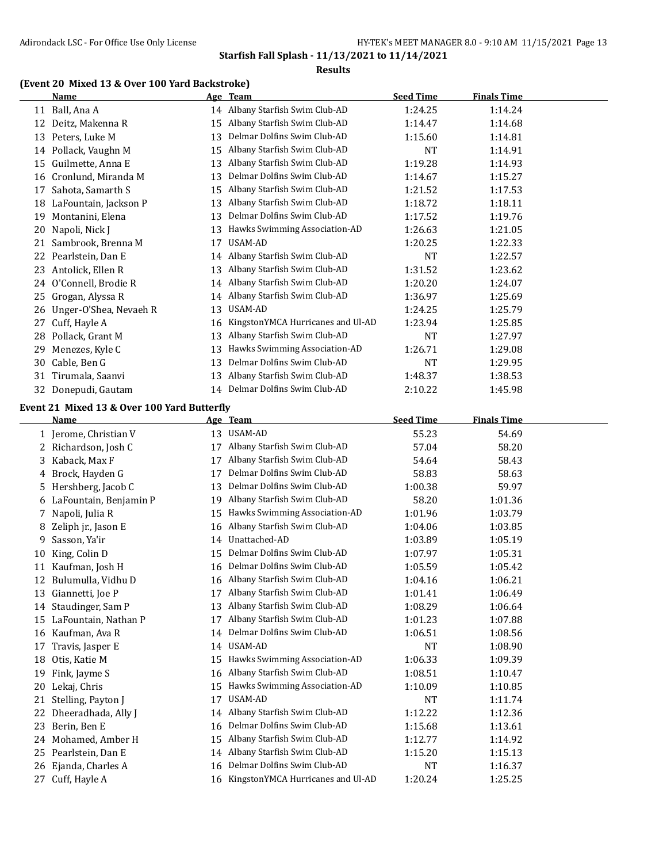#### **Results**

## **(Event 20 Mixed 13 & Over 100 Yard Backstroke)**

|    | <b>Name</b>            |    | Age Team                          | <b>Seed Time</b> | <b>Finals Time</b> |
|----|------------------------|----|-----------------------------------|------------------|--------------------|
|    | 11 Ball, Ana A         | 14 | Albany Starfish Swim Club-AD      | 1:24.25          | 1:14.24            |
| 12 | Deitz, Makenna R       | 15 | Albany Starfish Swim Club-AD      | 1:14.47          | 1:14.68            |
| 13 | Peters, Luke M         | 13 | Delmar Dolfins Swim Club-AD       | 1:15.60          | 1:14.81            |
| 14 | Pollack, Vaughn M      | 15 | Albany Starfish Swim Club-AD      | NT               | 1:14.91            |
| 15 | Guilmette, Anna E      | 13 | Albany Starfish Swim Club-AD      | 1:19.28          | 1:14.93            |
| 16 | Cronlund, Miranda M    | 13 | Delmar Dolfins Swim Club-AD       | 1:14.67          | 1:15.27            |
| 17 | Sahota, Samarth S      | 15 | Albany Starfish Swim Club-AD      | 1:21.52          | 1:17.53            |
| 18 | LaFountain, Jackson P  | 13 | Albany Starfish Swim Club-AD      | 1:18.72          | 1:18.11            |
| 19 | Montanini, Elena       | 13 | Delmar Dolfins Swim Club-AD       | 1:17.52          | 1:19.76            |
| 20 | Napoli, Nick J         | 13 | Hawks Swimming Association-AD     | 1:26.63          | 1:21.05            |
| 21 | Sambrook, Brenna M     | 17 | USAM-AD                           | 1:20.25          | 1:22.33            |
| 22 | Pearlstein, Dan E      | 14 | Albany Starfish Swim Club-AD      | NT               | 1:22.57            |
| 23 | Antolick, Ellen R      | 13 | Albany Starfish Swim Club-AD      | 1:31.52          | 1:23.62            |
| 24 | O'Connell, Brodie R    | 14 | Albany Starfish Swim Club-AD      | 1:20.20          | 1:24.07            |
| 25 | Grogan, Alyssa R       | 14 | Albany Starfish Swim Club-AD      | 1:36.97          | 1:25.69            |
| 26 | Unger-O'Shea, Nevaeh R | 13 | USAM-AD                           | 1:24.25          | 1:25.79            |
| 27 | Cuff, Hayle A          | 16 | KingstonYMCA Hurricanes and Ul-AD | 1:23.94          | 1:25.85            |
| 28 | Pollack, Grant M       | 13 | Albany Starfish Swim Club-AD      | NT               | 1:27.97            |
| 29 | Menezes, Kyle C        | 13 | Hawks Swimming Association-AD     | 1:26.71          | 1:29.08            |
| 30 | Cable, Ben G           | 13 | Delmar Dolfins Swim Club-AD       | NT               | 1:29.95            |
| 31 | Tirumala, Saanvi       | 13 | Albany Starfish Swim Club-AD      | 1:48.37          | 1:38.53            |
| 32 | Donepudi, Gautam       | 14 | Delmar Dolfins Swim Club-AD       | 2:10.22          | 1:45.98            |
|    |                        |    |                                   |                  |                    |

## **Event 21 Mixed 13 & Over 100 Yard Butterfly**

|    | Name                   |    | Age Team                          | <b>Seed Time</b> | <b>Finals Time</b> |
|----|------------------------|----|-----------------------------------|------------------|--------------------|
| 1  | Jerome, Christian V    | 13 | USAM-AD                           | 55.23            | 54.69              |
| 2  | Richardson, Josh C     | 17 | Albany Starfish Swim Club-AD      | 57.04            | 58.20              |
| 3  | Kaback, Max F          | 17 | Albany Starfish Swim Club-AD      | 54.64            | 58.43              |
| 4  | Brock, Hayden G        | 17 | Delmar Dolfins Swim Club-AD       | 58.83            | 58.63              |
| 5  | Hershberg, Jacob C     | 13 | Delmar Dolfins Swim Club-AD       | 1:00.38          | 59.97              |
| 6  | LaFountain, Benjamin P | 19 | Albany Starfish Swim Club-AD      | 58.20            | 1:01.36            |
|    | Napoli, Julia R        | 15 | Hawks Swimming Association-AD     | 1:01.96          | 1:03.79            |
| 8  | Zeliph jr., Jason E    | 16 | Albany Starfish Swim Club-AD      | 1:04.06          | 1:03.85            |
| 9  | Sasson, Ya'ir          | 14 | Unattached-AD                     | 1:03.89          | 1:05.19            |
| 10 | King, Colin D          | 15 | Delmar Dolfins Swim Club-AD       | 1:07.97          | 1:05.31            |
| 11 | Kaufman, Josh H        | 16 | Delmar Dolfins Swim Club-AD       | 1:05.59          | 1:05.42            |
| 12 | Bulumulla, Vidhu D     | 16 | Albany Starfish Swim Club-AD      | 1:04.16          | 1:06.21            |
| 13 | Giannetti, Joe P       | 17 | Albany Starfish Swim Club-AD      | 1:01.41          | 1:06.49            |
| 14 | Staudinger, Sam P      | 13 | Albany Starfish Swim Club-AD      | 1:08.29          | 1:06.64            |
| 15 | LaFountain, Nathan P   | 17 | Albany Starfish Swim Club-AD      | 1:01.23          | 1:07.88            |
| 16 | Kaufman, Ava R         | 14 | Delmar Dolfins Swim Club-AD       | 1:06.51          | 1:08.56            |
| 17 | Travis, Jasper E       | 14 | USAM-AD                           | <b>NT</b>        | 1:08.90            |
| 18 | Otis, Katie M          | 15 | Hawks Swimming Association-AD     | 1:06.33          | 1:09.39            |
| 19 | Fink, Jayme S          | 16 | Albany Starfish Swim Club-AD      | 1:08.51          | 1:10.47            |
| 20 | Lekaj, Chris           | 15 | Hawks Swimming Association-AD     | 1:10.09          | 1:10.85            |
| 21 | Stelling, Payton J     | 17 | USAM-AD                           | <b>NT</b>        | 1:11.74            |
| 22 | Dheeradhada, Ally J    | 14 | Albany Starfish Swim Club-AD      | 1:12.22          | 1:12.36            |
| 23 | Berin, Ben E           | 16 | Delmar Dolfins Swim Club-AD       | 1:15.68          | 1:13.61            |
| 24 | Mohamed, Amber H       | 15 | Albany Starfish Swim Club-AD      | 1:12.77          | 1:14.92            |
| 25 | Pearlstein, Dan E      | 14 | Albany Starfish Swim Club-AD      | 1:15.20          | 1:15.13            |
| 26 | Ejanda, Charles A      | 16 | Delmar Dolfins Swim Club-AD       | NT               | 1:16.37            |
| 27 | Cuff, Hayle A          | 16 | KingstonYMCA Hurricanes and Ul-AD | 1:20.24          | 1:25.25            |